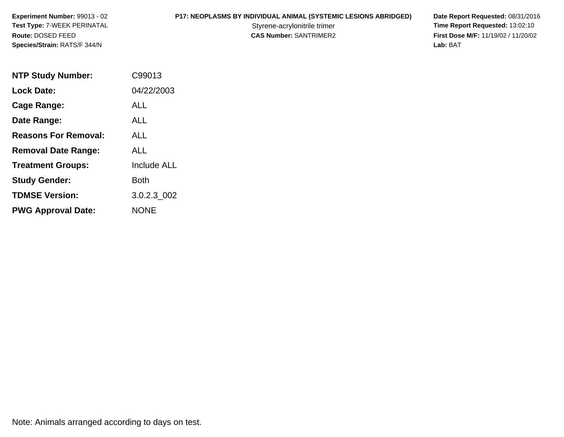**P17: NEOPLASMS BY INDIVIDUAL ANIMAL (SYSTEMIC LESIONS ABRIDGED) Date Report Requested: 08/31/2016<br>Styrene-acrylonitrile trimer <b>Time Report Requested: 13:02:10** Styrene-acrylonitrile trimer<br> **CAS Number:** SANTRIMER2<br> **CAS Number:** SANTRIMER2<br> **Time Report Requested:** 13:02:10 **First Dose M/F:** 11/19/02 / 11/20/02<br>Lab: BAT **Lab:** BAT

| <b>NTP Study Number:</b>    | C99013             |
|-----------------------------|--------------------|
| <b>Lock Date:</b>           | 04/22/2003         |
| Cage Range:                 | ALL                |
| Date Range:                 | ALL                |
| <b>Reasons For Removal:</b> | <b>ALL</b>         |
| <b>Removal Date Range:</b>  | ALL                |
| <b>Treatment Groups:</b>    | <b>Include ALL</b> |
| <b>Study Gender:</b>        | Both               |
| <b>TDMSE Version:</b>       | 3.0.2.3 002        |
| <b>PWG Approval Date:</b>   | <b>NONE</b>        |

Note: Animals arranged according to days on test.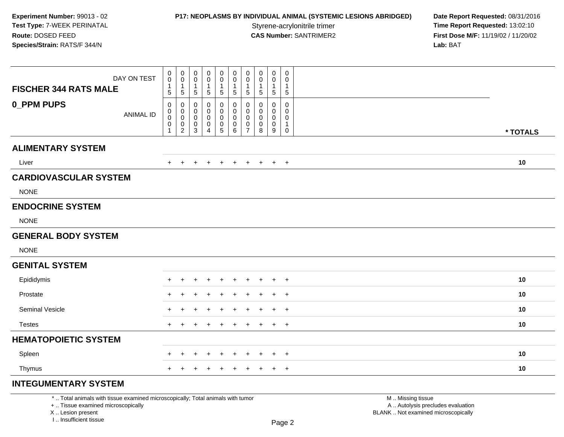### **P17: NEOPLASMS BY INDIVIDUAL ANIMAL (SYSTEMIC LESIONS ABRIDGED) Date Report Requested: 08/31/2016<br>Styrene-acrylonitrile trimer <b>Time Report Requested: 13:02:10**

**Time Report Requested: 13:02:10 CAS Number:** SANTRIMER2 **First Dose M/F:** 11/19/02 / 11/20/02 **Lab:** BAT

|                              | DAY ON TEST      | 0<br>$\mathbf 0$            | 0<br>$\pmb{0}$<br>$\mathbf{1}$               | 0<br>0<br>$\mathbf{1}$                        | 0<br>0                     | $\pmb{0}$<br>0                        | $\pmb{0}$<br>$\mathbf 0$              | $\pmb{0}$<br>0<br>$\mathbf{1}$ | $\boldsymbol{0}$<br>0<br>1 | $\mathbf 0$<br>0  | $\pmb{0}$<br>0<br>$\mathbf{1}$ |          |
|------------------------------|------------------|-----------------------------|----------------------------------------------|-----------------------------------------------|----------------------------|---------------------------------------|---------------------------------------|--------------------------------|----------------------------|-------------------|--------------------------------|----------|
| <b>FISCHER 344 RATS MALE</b> |                  | 1<br>5                      | 5                                            | 5                                             | $\mathbf{1}$<br>$\sqrt{5}$ | $\mathbf{1}$<br>$\sqrt{5}$            | $\mathbf{1}$<br>$\,$ 5 $\,$           | $\sqrt{5}$                     | $\sqrt{5}$                 | $\mathbf{1}$<br>5 | $\sqrt{5}$                     |          |
| 0_PPM PUPS                   |                  | 0                           | 0                                            | 0                                             | 0                          | $\mathbf 0$                           | 0                                     | 0                              | 0                          | 0                 | $\mathbf 0$                    |          |
|                              | <b>ANIMAL ID</b> | $\pmb{0}$<br>$\mathbf 0$    | $\mathbf 0$<br>$\pmb{0}$                     | 0<br>$\mathbf 0$                              | 0<br>0                     | $\pmb{0}$<br>$\pmb{0}$                | $\pmb{0}$<br>$\pmb{0}$                | $\mathbf 0$<br>$\mathbf 0$     | 0<br>$\mathbf 0$           | 0<br>$\mathbf 0$  | $\mathbf 0$<br>0               |          |
|                              |                  | $\mathbf 0$<br>$\mathbf{1}$ | $\begin{smallmatrix} 0\\2 \end{smallmatrix}$ | $\boldsymbol{0}$<br>$\ensuremath{\mathsf{3}}$ | 0<br>$\overline{4}$        | $\begin{array}{c} 0 \\ 5 \end{array}$ | $\begin{array}{c} 0 \\ 6 \end{array}$ | 0<br>$\overline{7}$            | 0<br>8                     | 0<br>9            | $\mathbf{1}$<br>$\pmb{0}$      | * TOTALS |
| <b>ALIMENTARY SYSTEM</b>     |                  |                             |                                              |                                               |                            |                                       |                                       |                                |                            |                   |                                |          |
| Liver                        |                  | $\pm$                       | $+$                                          | $\ddot{}$                                     | $+$                        | $+$                                   | $+$                                   | $+$                            | $+$                        | $+$               | $+$                            | 10       |
| <b>CARDIOVASCULAR SYSTEM</b> |                  |                             |                                              |                                               |                            |                                       |                                       |                                |                            |                   |                                |          |
| <b>NONE</b>                  |                  |                             |                                              |                                               |                            |                                       |                                       |                                |                            |                   |                                |          |
| <b>ENDOCRINE SYSTEM</b>      |                  |                             |                                              |                                               |                            |                                       |                                       |                                |                            |                   |                                |          |
| <b>NONE</b>                  |                  |                             |                                              |                                               |                            |                                       |                                       |                                |                            |                   |                                |          |
| <b>GENERAL BODY SYSTEM</b>   |                  |                             |                                              |                                               |                            |                                       |                                       |                                |                            |                   |                                |          |
| <b>NONE</b>                  |                  |                             |                                              |                                               |                            |                                       |                                       |                                |                            |                   |                                |          |
| <b>GENITAL SYSTEM</b>        |                  |                             |                                              |                                               |                            |                                       |                                       |                                |                            |                   |                                |          |
| Epididymis                   |                  |                             |                                              |                                               |                            |                                       |                                       |                                |                            |                   | $\ddot{}$                      | 10       |
| Prostate                     |                  | $\pm$                       |                                              | +                                             |                            |                                       | ÷                                     |                                | ٠                          | $\pm$             | $+$                            | 10       |
| Seminal Vesicle              |                  | $\pm$                       |                                              |                                               |                            |                                       |                                       |                                |                            |                   | $\overline{+}$                 | 10       |
| <b>Testes</b>                |                  | $\pm$                       |                                              | $\ddot{}$                                     |                            | $\overline{1}$                        | $\ddot{}$                             | $\ddot{}$                      | $\ddot{}$                  | +                 | $+$                            | 10       |
| <b>HEMATOPOIETIC SYSTEM</b>  |                  |                             |                                              |                                               |                            |                                       |                                       |                                |                            |                   |                                |          |
| Spleen                       |                  | ÷                           |                                              | ÷                                             | ÷                          | $\div$                                | $\ddot{}$                             | $\pm$                          | $\pm$                      | $\pm$             | $^{+}$                         | 10       |
| Thymus                       |                  | $+$                         | $+$                                          | $\ddot{}$                                     | $+$                        | $\overline{+}$                        | $+$                                   | $_{+}$                         | $\ddot{}$                  | $+$               | $+$                            | 10       |
| <b>INTEGUMENTARY SYSTEM</b>  |                  |                             |                                              |                                               |                            |                                       |                                       |                                |                            |                   |                                |          |
|                              |                  |                             |                                              |                                               |                            |                                       |                                       |                                |                            |                   |                                |          |

\* .. Total animals with tissue examined microscopically; Total animals with tumor

+ .. Tissue examined microscopically

X .. Lesion present

I .. Insufficient tissue

 M .. Missing tissuey the contract of the contract of the contract of the contract of the contract of  $\mathsf A$  . Autolysis precludes evaluation Lesion present BLANK .. Not examined microscopically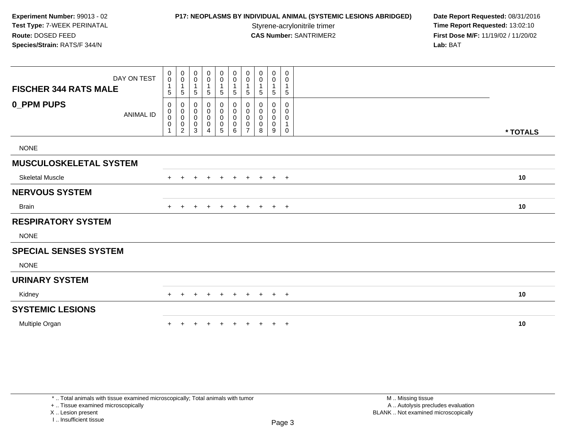## **P17: NEOPLASMS BY INDIVIDUAL ANIMAL (SYSTEMIC LESIONS ABRIDGED) Date Report Requested: 08/31/2016<br>Styrene-acrylonitrile trimer <b>Time Report Requested:** 13:02:10

**Time Report Requested: 13:02:10 CAS Number:** SANTRIMER2 **First Dose M/F:** 11/19/02 / 11/20/02 **Lab:** BAT

| DAY ON TEST                           | $\mathbf 0$<br>$\mathbf 0$                                   | 0<br>$\pmb{0}$                                | 0<br>$\pmb{0}$                                | $_{\rm 0}^{\rm 0}$                                         | $\begin{smallmatrix}0\0\0\end{smallmatrix}$                 | $\pmb{0}$<br>$\pmb{0}$                          | 0<br>$\pmb{0}$        | $\mathbf 0$<br>$\pmb{0}$      | 0<br>$\pmb{0}$                | 0<br>0                                    |          |
|---------------------------------------|--------------------------------------------------------------|-----------------------------------------------|-----------------------------------------------|------------------------------------------------------------|-------------------------------------------------------------|-------------------------------------------------|-----------------------|-------------------------------|-------------------------------|-------------------------------------------|----------|
| <b>FISCHER 344 RATS MALE</b>          | $\mathbf{1}$<br>5                                            | $\mathbf{1}$<br>5                             | $\overline{1}$<br>$\,$ 5 $\,$                 | $\mathbf{1}$<br>$\,$ 5 $\,$                                | $\mathbf{1}$<br>5                                           | $\overline{1}$<br>$\sqrt{5}$                    | $\mathbf{1}$<br>5     | $\overline{1}$<br>$\mathbf 5$ | 1<br>$\sqrt{5}$               | $\mathbf{1}$<br>$\sqrt{5}$                |          |
| <b>0_PPM PUPS</b><br><b>ANIMAL ID</b> | 0<br>$\mathbf 0$<br>$\mathbf 0$<br>$\pmb{0}$<br>$\mathbf{1}$ | 0<br>$\pmb{0}$<br>$\pmb{0}$<br>$\pmb{0}$<br>2 | 0<br>$\pmb{0}$<br>$\pmb{0}$<br>$\pmb{0}$<br>3 | 0<br>$\pmb{0}$<br>$\pmb{0}$<br>$\pmb{0}$<br>$\overline{4}$ | 0<br>$\mathbf 0$<br>$\boldsymbol{0}$<br>0<br>$\overline{5}$ | 0<br>$\pmb{0}$<br>$\mathbf 0$<br>$\pmb{0}$<br>6 | 0<br>0<br>0<br>0<br>7 | 0<br>0<br>0<br>0<br>8         | 0<br>0<br>$\pmb{0}$<br>0<br>9 | 0<br>0<br>0<br>$\mathbf 1$<br>$\mathbf 0$ | * TOTALS |
| <b>NONE</b>                           |                                                              |                                               |                                               |                                                            |                                                             |                                                 |                       |                               |                               |                                           |          |
| <b>MUSCULOSKELETAL SYSTEM</b>         |                                                              |                                               |                                               |                                                            |                                                             |                                                 |                       |                               |                               |                                           |          |
| <b>Skeletal Muscle</b>                |                                                              |                                               |                                               |                                                            | $\pm$                                                       |                                                 | ÷                     | $+$                           | $+$                           | $+$                                       | 10       |
| <b>NERVOUS SYSTEM</b>                 |                                                              |                                               |                                               |                                                            |                                                             |                                                 |                       |                               |                               |                                           |          |
| Brain                                 | $^+$                                                         | $\ddot{}$                                     | $+$                                           | $\ddot{}$                                                  | $+$                                                         | $+$                                             | $+$                   | $+$                           | $+$ $+$                       |                                           | 10       |
| <b>RESPIRATORY SYSTEM</b>             |                                                              |                                               |                                               |                                                            |                                                             |                                                 |                       |                               |                               |                                           |          |
| <b>NONE</b>                           |                                                              |                                               |                                               |                                                            |                                                             |                                                 |                       |                               |                               |                                           |          |
| <b>SPECIAL SENSES SYSTEM</b>          |                                                              |                                               |                                               |                                                            |                                                             |                                                 |                       |                               |                               |                                           |          |
| <b>NONE</b>                           |                                                              |                                               |                                               |                                                            |                                                             |                                                 |                       |                               |                               |                                           |          |
| <b>URINARY SYSTEM</b>                 |                                                              |                                               |                                               |                                                            |                                                             |                                                 |                       |                               |                               |                                           |          |
| Kidney                                |                                                              |                                               |                                               |                                                            |                                                             |                                                 | $\div$                | $\pm$                         | $+$                           | $+$                                       | 10       |
| <b>SYSTEMIC LESIONS</b>               |                                                              |                                               |                                               |                                                            |                                                             |                                                 |                       |                               |                               |                                           |          |
| Multiple Organ                        |                                                              |                                               |                                               |                                                            |                                                             |                                                 |                       |                               | $\ddot{}$                     | $+$                                       | 10       |

\* .. Total animals with tissue examined microscopically; Total animals with tumor

+ .. Tissue examined microscopically

X .. Lesion present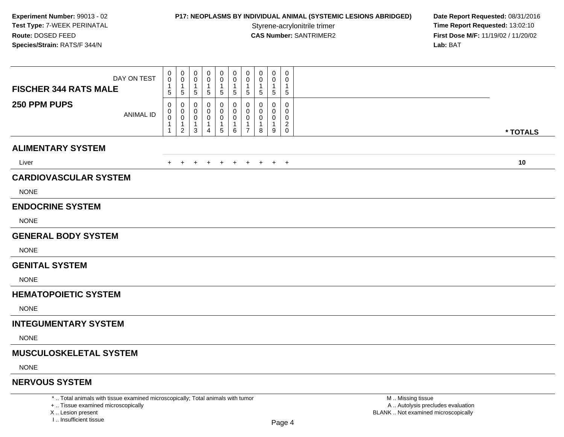## **P17: NEOPLASMS BY INDIVIDUAL ANIMAL (SYSTEMIC LESIONS ABRIDGED) Date Report Requested: 08/31/2016<br>Styrene-acrylonitrile trimer <b>Time Report Requested: 13:02:10**

**Time Report Requested: 13:02:10 CAS Number:** SANTRIMER2 **First Dose M/F:** 11/19/02 / 11/20/02 **Lab:** BAT

| DAY ON TEST<br><b>FISCHER 344 RATS MALE</b> | 0<br>$\pmb{0}$<br>$\mathbf 1$<br>5 | 0<br>$\mathbf 0$<br>$\mathbf 1$<br>$\overline{5}$   | 0<br>0<br>-1<br>5     | 0<br>0<br>-1<br>5      | 0<br>0<br>1<br>5                         | 0<br>0<br>-1<br>5                      | 0<br>0<br>-1<br>$\sqrt{5}$                                     | 0<br>0<br>5                   | 0<br>0<br>1<br>$\sqrt{5}$                            | 0<br>$\mathbf 0$<br>1<br>5                                     |          |
|---------------------------------------------|------------------------------------|-----------------------------------------------------|-----------------------|------------------------|------------------------------------------|----------------------------------------|----------------------------------------------------------------|-------------------------------|------------------------------------------------------|----------------------------------------------------------------|----------|
| 250 PPM PUPS<br><b>ANIMAL ID</b>            | 0<br>0<br>0<br>1<br>1              | 0<br>0<br>$\mathbf 0$<br>$\mathbf{1}$<br>$\sqrt{2}$ | 0<br>0<br>0<br>1<br>3 | 0<br>0<br>0<br>-1<br>4 | 0<br>0<br>$\pmb{0}$<br>$\mathbf{1}$<br>5 | 0<br>0<br>0<br>$\mathbf{1}$<br>$\,6\,$ | $\Omega$<br>$\mathbf 0$<br>0<br>$\mathbf{1}$<br>$\overline{7}$ | $\Omega$<br>0<br>0<br>-1<br>8 | $\mathbf 0$<br>$\mathbf 0$<br>0<br>$\mathbf{1}$<br>9 | $\mathbf 0$<br>$\mathbf 0$<br>0<br>$\overline{c}$<br>$\pmb{0}$ | * TOTALS |
| <b>ALIMENTARY SYSTEM</b>                    |                                    |                                                     |                       |                        |                                          |                                        |                                                                |                               |                                                      |                                                                |          |
| Liver                                       | $+$                                |                                                     |                       |                        |                                          |                                        |                                                                | + + + + + + + + +             |                                                      |                                                                | 10       |
| <b>CARDIOVASCULAR SYSTEM</b>                |                                    |                                                     |                       |                        |                                          |                                        |                                                                |                               |                                                      |                                                                |          |
| <b>NONE</b>                                 |                                    |                                                     |                       |                        |                                          |                                        |                                                                |                               |                                                      |                                                                |          |
| <b>ENDOCRINE SYSTEM</b>                     |                                    |                                                     |                       |                        |                                          |                                        |                                                                |                               |                                                      |                                                                |          |
| <b>NONE</b>                                 |                                    |                                                     |                       |                        |                                          |                                        |                                                                |                               |                                                      |                                                                |          |
| <b>GENERAL BODY SYSTEM</b>                  |                                    |                                                     |                       |                        |                                          |                                        |                                                                |                               |                                                      |                                                                |          |
| <b>NONE</b>                                 |                                    |                                                     |                       |                        |                                          |                                        |                                                                |                               |                                                      |                                                                |          |
| <b>GENITAL SYSTEM</b>                       |                                    |                                                     |                       |                        |                                          |                                        |                                                                |                               |                                                      |                                                                |          |
| <b>NONE</b>                                 |                                    |                                                     |                       |                        |                                          |                                        |                                                                |                               |                                                      |                                                                |          |
| <b>HEMATOPOIETIC SYSTEM</b>                 |                                    |                                                     |                       |                        |                                          |                                        |                                                                |                               |                                                      |                                                                |          |
| <b>NONE</b>                                 |                                    |                                                     |                       |                        |                                          |                                        |                                                                |                               |                                                      |                                                                |          |
| <b>INTEGUMENTARY SYSTEM</b>                 |                                    |                                                     |                       |                        |                                          |                                        |                                                                |                               |                                                      |                                                                |          |
| <b>NONE</b>                                 |                                    |                                                     |                       |                        |                                          |                                        |                                                                |                               |                                                      |                                                                |          |
| <b>MUSCULOSKELETAL SYSTEM</b>               |                                    |                                                     |                       |                        |                                          |                                        |                                                                |                               |                                                      |                                                                |          |
| <b>NONE</b>                                 |                                    |                                                     |                       |                        |                                          |                                        |                                                                |                               |                                                      |                                                                |          |
| <b>NERVOUS SYSTEM</b>                       |                                    |                                                     |                       |                        |                                          |                                        |                                                                |                               |                                                      |                                                                |          |
|                                             |                                    |                                                     |                       |                        |                                          |                                        |                                                                |                               |                                                      |                                                                |          |

\* .. Total animals with tissue examined microscopically; Total animals with tumor

+ .. Tissue examined microscopically

X .. Lesion present

I .. Insufficient tissue

 M .. Missing tissuey the contract of the contract of the contract of the contract of the contract of  $\mathsf A$  . Autolysis precludes evaluation Lesion present BLANK .. Not examined microscopically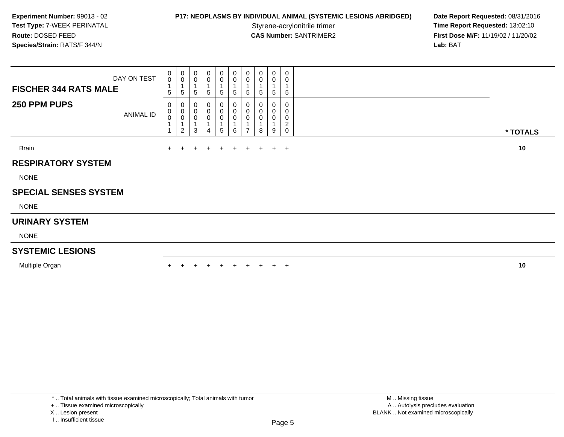## **P17: NEOPLASMS BY INDIVIDUAL ANIMAL (SYSTEMIC LESIONS ABRIDGED) Date Report Requested: 08/31/2016<br>Styrene-acrylonitrile trimer <b>Time Report Requested: 13:02:10**

**Time Report Requested: 13:02:10 CAS Number:** SANTRIMER2 **First Dose M/F:** 11/19/02 / 11/20/02 **Lab:** BAT

| <b>FISCHER 344 RATS MALE</b> | DAY ON TEST | $_{0}^{0}$<br>$5\phantom{.0}$ | $_{\rm 0}^{\rm 0}$<br>$\overline{1}$<br>$5\phantom{.0}$   | 0<br>0<br>5            | 5                | $\mathbf 0$<br>$\pmb{0}$<br>$\overline{A}$<br>5 | 0<br>0<br>$5\overline{)}$ | $\begin{smallmatrix} 0\\0 \end{smallmatrix}$<br>$\overline{1}$<br>$\mathbf 5$ | $\pmb{0}$<br>0<br>5      | 0<br>0<br>5 | $\mathbf 0$<br>0<br>5                |          |  |
|------------------------------|-------------|-------------------------------|-----------------------------------------------------------|------------------------|------------------|-------------------------------------------------|---------------------------|-------------------------------------------------------------------------------|--------------------------|-------------|--------------------------------------|----------|--|
| 250 PPM PUPS                 | ANIMAL ID   | 0<br>$\mathbf 0$<br>$\pmb{0}$ | 0<br>$_{\rm 0}^{\rm 0}$<br>$\mathbf{1}$<br>$\overline{2}$ | 0<br>0<br>$\,0\,$<br>3 | $\boldsymbol{0}$ | 0<br>$\pmb{0}$<br>$\pmb{0}$<br>$5\phantom{.0}$  | 0<br>0<br>0<br>6          | 0<br>$_{\rm 0}^{\rm 0}$<br>$\overline{7}$                                     | 0<br>0<br>$\pmb{0}$<br>8 | 0<br>0<br>9 | 0<br>0<br>0<br>$\boldsymbol{2}$<br>0 | * TOTALS |  |
| Brain                        |             |                               | $+$ $+$                                                   | $+$                    |                  | $+$ $+$                                         | $+$                       |                                                                               | $+$ $+$                  |             | $+$ $+$                              | 10       |  |
| <b>RESPIRATORY SYSTEM</b>    |             |                               |                                                           |                        |                  |                                                 |                           |                                                                               |                          |             |                                      |          |  |
| <b>NONE</b>                  |             |                               |                                                           |                        |                  |                                                 |                           |                                                                               |                          |             |                                      |          |  |
| <b>SPECIAL SENSES SYSTEM</b> |             |                               |                                                           |                        |                  |                                                 |                           |                                                                               |                          |             |                                      |          |  |
| <b>NONE</b>                  |             |                               |                                                           |                        |                  |                                                 |                           |                                                                               |                          |             |                                      |          |  |
| <b>URINARY SYSTEM</b>        |             |                               |                                                           |                        |                  |                                                 |                           |                                                                               |                          |             |                                      |          |  |
| <b>NONE</b>                  |             |                               |                                                           |                        |                  |                                                 |                           |                                                                               |                          |             |                                      |          |  |
| <b>SYSTEMIC LESIONS</b>      |             |                               |                                                           |                        |                  |                                                 |                           |                                                                               |                          |             |                                      |          |  |
| Multiple Organ               |             |                               |                                                           |                        |                  | $\pm$                                           | $\pm$                     | $+$                                                                           | $+$                      |             | $+$ $+$                              | 10       |  |

+ .. Tissue examined microscopically

X .. Lesion present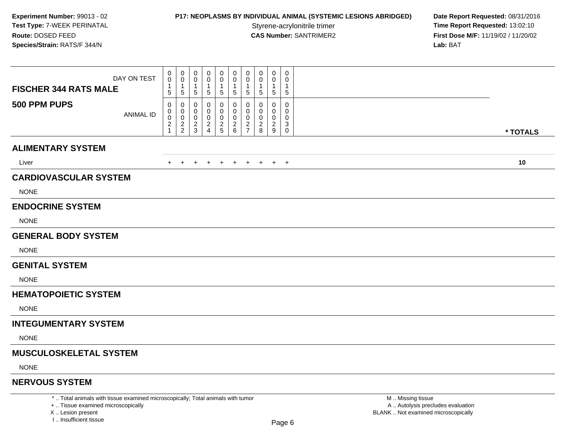### **P17: NEOPLASMS BY INDIVIDUAL ANIMAL (SYSTEMIC LESIONS ABRIDGED) Date Report Requested: 08/31/2016<br>Styrene-acrylonitrile trimer <b>Time Report Requested: 13:02:10**

**Time Report Requested: 13:02:10 CAS Number:** SANTRIMER2 **First Dose M/F:** 11/19/02 / 11/20/02 **Lab:** BAT

| DAY ON TEST<br><b>FISCHER 344 RATS MALE</b> | 0<br>$\mathbf 0$<br>1<br>$\sqrt{5}$       | 0<br>$\mathbf 0$<br>$\overline{1}$<br>$\sqrt{5}$                | 0<br>0<br>$\,$ 5 $\,$              | 0<br>0<br>5                                     | 0<br>0<br>5                | 0<br>$\mathbf{0}$<br>$\sqrt{5}$        | 0<br>$\mathbf 0$<br>$\mathbf 1$<br>$\sqrt{5}$         | 0<br>0<br>5                   | 0<br>$\Omega$<br>1<br>$\sqrt{5}$   | 0<br>$\Omega$<br>5              |          |
|---------------------------------------------|-------------------------------------------|-----------------------------------------------------------------|------------------------------------|-------------------------------------------------|----------------------------|----------------------------------------|-------------------------------------------------------|-------------------------------|------------------------------------|---------------------------------|----------|
| 500 PPM PUPS<br><b>ANIMAL ID</b>            | 0<br>0<br>0<br>$\sqrt{2}$<br>$\mathbf{1}$ | $\mathbf 0$<br>0<br>$\mathbf 0$<br>$\sqrt{2}$<br>$\overline{2}$ | 0<br>0<br>0<br>$\overline{2}$<br>3 | 0<br>0<br>0<br>$\overline{c}$<br>$\overline{4}$ | 0<br>0<br>0<br>$rac{2}{5}$ | 0<br>$\mathbf 0$<br>0<br>$\frac{2}{6}$ | 0<br>0<br>$\mathbf 0$<br>$\sqrt{2}$<br>$\overline{7}$ | 0<br>0<br>$\overline{2}$<br>8 | 0<br>0<br>0<br>$\overline{c}$<br>9 | 0<br>0<br>0<br>3<br>$\mathbf 0$ | * TOTALS |
| <b>ALIMENTARY SYSTEM</b>                    |                                           |                                                                 |                                    |                                                 |                            |                                        |                                                       |                               |                                    |                                 |          |
| Liver                                       | $+$                                       | $+$                                                             | $+$                                | $+$                                             | $+$                        | $+$                                    |                                                       | $+$ $+$                       |                                    | $+$ $+$                         | 10       |
| <b>CARDIOVASCULAR SYSTEM</b><br><b>NONE</b> |                                           |                                                                 |                                    |                                                 |                            |                                        |                                                       |                               |                                    |                                 |          |
| <b>ENDOCRINE SYSTEM</b>                     |                                           |                                                                 |                                    |                                                 |                            |                                        |                                                       |                               |                                    |                                 |          |
| <b>NONE</b>                                 |                                           |                                                                 |                                    |                                                 |                            |                                        |                                                       |                               |                                    |                                 |          |
| <b>GENERAL BODY SYSTEM</b>                  |                                           |                                                                 |                                    |                                                 |                            |                                        |                                                       |                               |                                    |                                 |          |
| <b>NONE</b>                                 |                                           |                                                                 |                                    |                                                 |                            |                                        |                                                       |                               |                                    |                                 |          |
| <b>GENITAL SYSTEM</b>                       |                                           |                                                                 |                                    |                                                 |                            |                                        |                                                       |                               |                                    |                                 |          |
| <b>NONE</b>                                 |                                           |                                                                 |                                    |                                                 |                            |                                        |                                                       |                               |                                    |                                 |          |
| <b>HEMATOPOIETIC SYSTEM</b>                 |                                           |                                                                 |                                    |                                                 |                            |                                        |                                                       |                               |                                    |                                 |          |
| <b>NONE</b>                                 |                                           |                                                                 |                                    |                                                 |                            |                                        |                                                       |                               |                                    |                                 |          |
| <b>INTEGUMENTARY SYSTEM</b>                 |                                           |                                                                 |                                    |                                                 |                            |                                        |                                                       |                               |                                    |                                 |          |
| <b>NONE</b>                                 |                                           |                                                                 |                                    |                                                 |                            |                                        |                                                       |                               |                                    |                                 |          |
| <b>MUSCULOSKELETAL SYSTEM</b>               |                                           |                                                                 |                                    |                                                 |                            |                                        |                                                       |                               |                                    |                                 |          |
| <b>NONE</b>                                 |                                           |                                                                 |                                    |                                                 |                            |                                        |                                                       |                               |                                    |                                 |          |
| <b>NERVOUS SYSTEM</b>                       |                                           |                                                                 |                                    |                                                 |                            |                                        |                                                       |                               |                                    |                                 |          |

\* .. Total animals with tissue examined microscopically; Total animals with tumor

+ .. Tissue examined microscopically

X .. Lesion present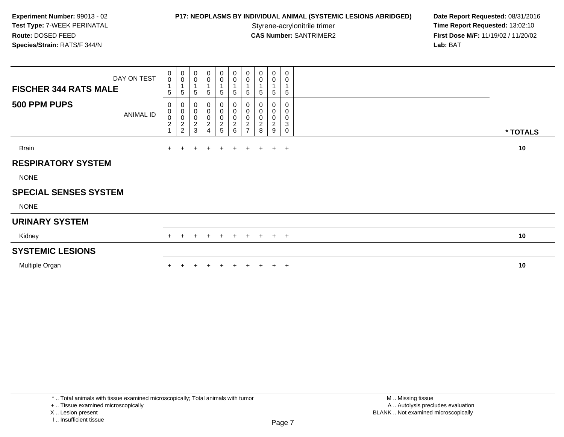**P17: NEOPLASMS BY INDIVIDUAL ANIMAL (SYSTEMIC LESIONS ABRIDGED) Date Report Requested: 08/31/2016<br>Styrene-acrylonitrile trimer <b>Time Report Requested: 13:02:10 Time Report Requested: 13:02:10 CAS Number:** SANTRIMER2 **First Dose M/F:** 11/19/02 / 11/20/02 **Lab:** BAT

| <b>FISCHER 344 RATS MALE</b> | DAY ON TEST | $_{0}^{0}$<br>5                 | $_{\rm 0}^{\rm 0}$<br>$\sqrt{5}$                                   | 0<br>0<br>5                        | 0<br>0<br>5                        | 0<br>$\pmb{0}$<br>5          | 0<br>$\pmb{0}$<br>5                         | $_{\rm 0}^{\rm 0}$<br>5                                                  | $\begin{smallmatrix} 0\\0 \end{smallmatrix}$<br>5 | $\pmb{0}$<br>$\mathbf 0$<br>$\mathbf{1}$<br>5 | 0<br>0<br>5                    |          |
|------------------------------|-------------|---------------------------------|--------------------------------------------------------------------|------------------------------------|------------------------------------|------------------------------|---------------------------------------------|--------------------------------------------------------------------------|---------------------------------------------------|-----------------------------------------------|--------------------------------|----------|
| 500 PPM PUPS                 | ANIMAL ID   | 0<br>$\pmb{0}$<br>$\frac{0}{2}$ | $\pmb{0}$<br>$\,0\,$<br>$\begin{array}{c} 0 \\ 2 \\ 2 \end{array}$ | 0<br>0<br>0<br>$\overline{2}$<br>3 | 0<br>0<br>0<br>$\overline{c}$<br>4 | 0<br>0<br>0<br>$\frac{2}{5}$ | 0<br>0<br>$\boldsymbol{0}$<br>$\frac{2}{6}$ | 0<br>$\boldsymbol{0}$<br>$\boldsymbol{0}$<br>$\sqrt{2}$<br>$\rightarrow$ | $\pmb{0}$<br>0<br>0<br>$\sqrt{2}$<br>$\bf8$       | 0<br>0<br>0<br>$\sqrt{2}$<br>9                | 0<br>0<br>0<br>$\sqrt{3}$<br>0 | * TOTALS |
|                              |             |                                 |                                                                    |                                    |                                    |                              |                                             |                                                                          |                                                   |                                               |                                |          |
| Brain                        |             |                                 |                                                                    |                                    |                                    | $\mathbf +$                  | $+$                                         | $\pm$                                                                    | $+$                                               |                                               | $+$ $+$                        | 10       |
| <b>RESPIRATORY SYSTEM</b>    |             |                                 |                                                                    |                                    |                                    |                              |                                             |                                                                          |                                                   |                                               |                                |          |
| <b>NONE</b>                  |             |                                 |                                                                    |                                    |                                    |                              |                                             |                                                                          |                                                   |                                               |                                |          |
| <b>SPECIAL SENSES SYSTEM</b> |             |                                 |                                                                    |                                    |                                    |                              |                                             |                                                                          |                                                   |                                               |                                |          |
| <b>NONE</b>                  |             |                                 |                                                                    |                                    |                                    |                              |                                             |                                                                          |                                                   |                                               |                                |          |
| <b>URINARY SYSTEM</b>        |             |                                 |                                                                    |                                    |                                    |                              |                                             |                                                                          |                                                   |                                               |                                |          |
| Kidney                       |             | $+$                             |                                                                    | $+$                                | $+$                                | $+$                          | $+$                                         | $+$                                                                      | $+$ $+$ $+$                                       |                                               |                                | 10       |
| <b>SYSTEMIC LESIONS</b>      |             |                                 |                                                                    |                                    |                                    |                              |                                             |                                                                          |                                                   |                                               |                                |          |
| Multiple Organ               |             |                                 |                                                                    |                                    |                                    |                              | $+$                                         | $\pm$                                                                    | $+$                                               | $+$                                           | $+$                            | 10       |
|                              |             |                                 |                                                                    |                                    |                                    |                              |                                             |                                                                          |                                                   |                                               |                                |          |

\* .. Total animals with tissue examined microscopically; Total animals with tumor

+ .. Tissue examined microscopically

X .. Lesion present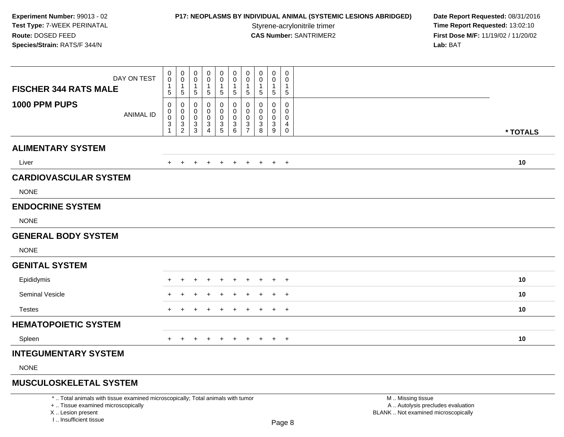### **P17: NEOPLASMS BY INDIVIDUAL ANIMAL (SYSTEMIC LESIONS ABRIDGED) Date Report Requested: 08/31/2016<br>Styrene-acrylonitrile trimer <b>Time Report Requested: 13:02:10**

**Time Report Requested: 13:02:10 CAS Number:** SANTRIMER2 **First Dose M/F:** 11/19/02 / 11/20/02 **Lab:** BAT

| DAY ON TEST<br><b>FISCHER 344 RATS MALE</b> | 0<br>0<br>1<br>5                         | 0<br>0<br>$\mathbf{1}$<br>$\sqrt{5}$   | 0<br>0<br>$\mathbf 1$<br>$\,$ 5 $\,$                                      | 0<br>0<br>5           | $\mathbf 0$<br>$\mathbf 0$<br>$\mathbf{1}$<br>$\sqrt{5}$ | 0<br>0<br>$\overline{1}$<br>$\sqrt{5}$ | 0<br>$\mathbf 0$<br>$\mathbf{1}$<br>$\sqrt{5}$ | 0<br>0<br>5           | 0<br>0<br>$\mathbf{1}$<br>$\sqrt{5}$ | 0<br>0<br>$\sqrt{5}$                      |          |  |
|---------------------------------------------|------------------------------------------|----------------------------------------|---------------------------------------------------------------------------|-----------------------|----------------------------------------------------------|----------------------------------------|------------------------------------------------|-----------------------|--------------------------------------|-------------------------------------------|----------|--|
| 1000 PPM PUPS<br><b>ANIMAL ID</b>           | 0<br>0<br>0<br>$\ensuremath{\mathsf{3}}$ | 0<br>0<br>$\mathbf 0$<br>$\frac{3}{2}$ | 0<br>0<br>$\boldsymbol{0}$<br>$\ensuremath{\mathsf{3}}$<br>$\overline{3}$ | 0<br>0<br>0<br>3<br>4 | 0<br>0<br>$\pmb{0}$<br>$\frac{3}{5}$                     | 0<br>0<br>$\pmb{0}$<br>3<br>6          | 0<br>0<br>$\mathbf 0$<br>3<br>$\overline{7}$   | 0<br>0<br>0<br>3<br>8 | 0<br>0<br>0<br>3<br>9                | 0<br>$\mathbf 0$<br>0<br>4<br>$\mathbf 0$ | * TOTALS |  |
| <b>ALIMENTARY SYSTEM</b>                    |                                          |                                        |                                                                           |                       |                                                          |                                        |                                                |                       |                                      |                                           |          |  |
| Liver                                       |                                          |                                        | $\pm$                                                                     | $\pm$                 | $\pm$                                                    | $+$                                    | $+$                                            | $\overline{+}$        | $+$                                  | $+$                                       | 10       |  |
| <b>CARDIOVASCULAR SYSTEM</b><br><b>NONE</b> |                                          |                                        |                                                                           |                       |                                                          |                                        |                                                |                       |                                      |                                           |          |  |
| <b>ENDOCRINE SYSTEM</b>                     |                                          |                                        |                                                                           |                       |                                                          |                                        |                                                |                       |                                      |                                           |          |  |
| <b>NONE</b>                                 |                                          |                                        |                                                                           |                       |                                                          |                                        |                                                |                       |                                      |                                           |          |  |
| <b>GENERAL BODY SYSTEM</b>                  |                                          |                                        |                                                                           |                       |                                                          |                                        |                                                |                       |                                      |                                           |          |  |
| <b>NONE</b>                                 |                                          |                                        |                                                                           |                       |                                                          |                                        |                                                |                       |                                      |                                           |          |  |
| <b>GENITAL SYSTEM</b>                       |                                          |                                        |                                                                           |                       |                                                          |                                        |                                                |                       |                                      |                                           |          |  |
| Epididymis                                  |                                          |                                        |                                                                           |                       |                                                          |                                        |                                                |                       |                                      | $\overline{ }$                            | 10       |  |
| <b>Seminal Vesicle</b>                      |                                          |                                        |                                                                           |                       |                                                          |                                        |                                                |                       |                                      | $^{+}$                                    | 10       |  |
| <b>Testes</b>                               |                                          |                                        | +                                                                         |                       |                                                          | $\pm$                                  | $\pm$                                          | $\pm$                 | $+$                                  | $+$                                       | 10       |  |
| <b>HEMATOPOIETIC SYSTEM</b>                 |                                          |                                        |                                                                           |                       |                                                          |                                        |                                                |                       |                                      |                                           |          |  |
| Spleen                                      | $+$                                      | $\ddot{}$                              | $\ddot{}$                                                                 | $+$                   | $+$                                                      | $+$                                    | $+$                                            | $+$                   |                                      | $+$ $+$                                   | 10       |  |
| <b>INTEGUMENTARY SYSTEM</b>                 |                                          |                                        |                                                                           |                       |                                                          |                                        |                                                |                       |                                      |                                           |          |  |
| <b>NONE</b>                                 |                                          |                                        |                                                                           |                       |                                                          |                                        |                                                |                       |                                      |                                           |          |  |
| <b>MUSCULOSKELETAL SYSTEM</b>               |                                          |                                        |                                                                           |                       |                                                          |                                        |                                                |                       |                                      |                                           |          |  |

\* .. Total animals with tissue examined microscopically; Total animals with tumor

+ .. Tissue examined microscopically

X .. Lesion present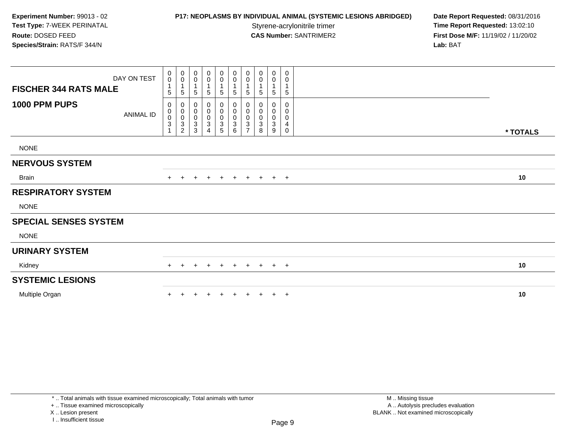**P17: NEOPLASMS BY INDIVIDUAL ANIMAL (SYSTEMIC LESIONS ABRIDGED) Date Report Requested: 08/31/2016<br>Styrene-acrylonitrile trimer <b>Time Report Requested: 13:02:10 Time Report Requested: 13:02:10 CAS Number:** SANTRIMER2 **First Dose M/F:** 11/19/02 / 11/20/02 **Lab:** BAT

| <b>FISCHER 344 RATS MALE</b> | DAY ON TEST | 0<br>$\mathbf 0$<br>1<br>5                      | $\pmb{0}$<br>$\mathbf 0$<br>1<br>$\sqrt{5}$         | 0<br>0<br>$\overline{1}$<br>5              | 0<br>$\pmb{0}$<br>$\mathbf 1$<br>5                                                  | $_0^0$<br>5                                  | $_{\rm 0}^{\rm 0}$<br>$\mathbf{1}$<br>5                                     | $\begin{smallmatrix}0\\0\end{smallmatrix}$<br>$\sqrt{5}$ | $\begin{smallmatrix} 0\\0 \end{smallmatrix}$<br>$\overline{1}$<br>$\sqrt{5}$ | 0<br>$\pmb{0}$<br>$\mathbf{1}$<br>$\sqrt{5}$                                      | 0<br>0<br>1<br>5                |          |
|------------------------------|-------------|-------------------------------------------------|-----------------------------------------------------|--------------------------------------------|-------------------------------------------------------------------------------------|----------------------------------------------|-----------------------------------------------------------------------------|----------------------------------------------------------|------------------------------------------------------------------------------|-----------------------------------------------------------------------------------|---------------------------------|----------|
| 1000 PPM PUPS                | ANIMAL ID   | 0<br>$\,0\,$<br>$\frac{0}{3}$<br>$\overline{A}$ | 0<br>$\begin{matrix} 0 \\ 0 \\ 3 \\ 2 \end{matrix}$ | 0<br>$_{\rm 0}^{\rm 0}$<br>$\sqrt{3}$<br>3 | $\boldsymbol{0}$<br>$\begin{smallmatrix} 0\\0 \end{smallmatrix}$<br>$\sqrt{3}$<br>4 | 0<br>$\pmb{0}$<br>$\pmb{0}$<br>$\frac{3}{5}$ | 0<br>$\pmb{0}$<br>$\pmb{0}$<br>$\ensuremath{\mathsf{3}}$<br>$6\overline{6}$ | 0000037                                                  | 0<br>$\begin{array}{c} 0 \\ 0 \\ 3 \\ 8 \end{array}$                         | 0<br>$\begin{smallmatrix}0\\0\end{smallmatrix}$<br>$\sqrt{3}$<br>$\boldsymbol{9}$ | 0<br>0<br>0<br>4<br>$\mathbf 0$ | * TOTALS |
| <b>NONE</b>                  |             |                                                 |                                                     |                                            |                                                                                     |                                              |                                                                             |                                                          |                                                                              |                                                                                   |                                 |          |
| <b>NERVOUS SYSTEM</b>        |             |                                                 |                                                     |                                            |                                                                                     |                                              |                                                                             |                                                          |                                                                              |                                                                                   |                                 |          |
| Brain                        |             | $+$                                             | $+$                                                 | $+$                                        | $\pm$                                                                               | $+$                                          | $+$                                                                         | $+$                                                      |                                                                              | $+$ $+$ $+$                                                                       |                                 | 10       |
| <b>RESPIRATORY SYSTEM</b>    |             |                                                 |                                                     |                                            |                                                                                     |                                              |                                                                             |                                                          |                                                                              |                                                                                   |                                 |          |
| <b>NONE</b>                  |             |                                                 |                                                     |                                            |                                                                                     |                                              |                                                                             |                                                          |                                                                              |                                                                                   |                                 |          |
| <b>SPECIAL SENSES SYSTEM</b> |             |                                                 |                                                     |                                            |                                                                                     |                                              |                                                                             |                                                          |                                                                              |                                                                                   |                                 |          |
| <b>NONE</b>                  |             |                                                 |                                                     |                                            |                                                                                     |                                              |                                                                             |                                                          |                                                                              |                                                                                   |                                 |          |
| <b>URINARY SYSTEM</b>        |             |                                                 |                                                     |                                            |                                                                                     |                                              |                                                                             |                                                          |                                                                              |                                                                                   |                                 |          |
| Kidney                       |             | $+$                                             | $^{+}$                                              | $\ddot{}$                                  | $+$                                                                                 | $+$                                          | $+$                                                                         | $+$                                                      |                                                                              | $+$ $+$ $+$                                                                       |                                 | 10       |
| <b>SYSTEMIC LESIONS</b>      |             |                                                 |                                                     |                                            |                                                                                     |                                              |                                                                             |                                                          |                                                                              |                                                                                   |                                 |          |
| Multiple Organ               |             |                                                 |                                                     |                                            |                                                                                     | $\ddot{}$                                    | $+$                                                                         | $\ddot{}$                                                | $\ddot{}$                                                                    |                                                                                   | $+$ $+$                         | 10       |

+ .. Tissue examined microscopically

X .. Lesion present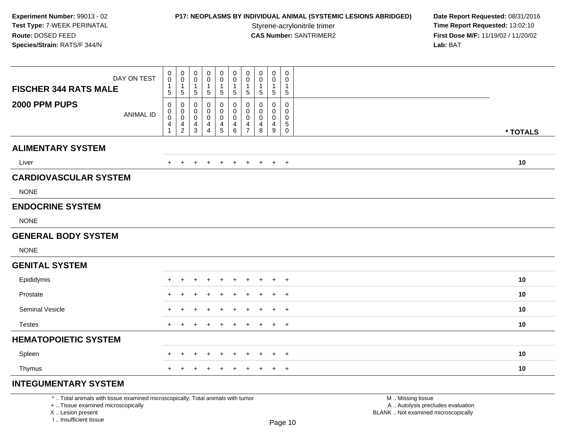## **P17: NEOPLASMS BY INDIVIDUAL ANIMAL (SYSTEMIC LESIONS ABRIDGED) Date Report Requested: 08/31/2016<br>Styrene-acrylonitrile trimer <b>Time Report Requested: 13:02:10**

**Time Report Requested: 13:02:10 CAS Number:** SANTRIMER2 **First Dose M/F:** 11/19/02 / 11/20/02 **Lab:** BAT

| DAY ON TEST<br><b>FISCHER 344 RATS MALE</b>                                     | 0<br>0<br>1<br>$\sqrt{5}$        | 0<br>0<br>1<br>$\sqrt{5}$                            | 0<br>0<br>5                        | 0<br>0<br>-1<br>$\mathbf 5$                     | $\mathbf 0$<br>0<br>1<br>$\overline{5}$      | $\mathbf 0$<br>0<br>$\mathbf{1}$<br>$\sqrt{5}$            | 0<br>$\Omega$<br>$\mathbf{1}$<br>$\sqrt{5}$                      | 0<br>$\Omega$<br>1<br>$\,$ 5 $\,$ | 0<br>0<br>1<br>5                             | 0<br>0<br>-1<br>5                                |                   |          |
|---------------------------------------------------------------------------------|----------------------------------|------------------------------------------------------|------------------------------------|-------------------------------------------------|----------------------------------------------|-----------------------------------------------------------|------------------------------------------------------------------|-----------------------------------|----------------------------------------------|--------------------------------------------------|-------------------|----------|
| 2000 PPM PUPS<br><b>ANIMAL ID</b>                                               | 0<br>0<br>0<br>4<br>$\mathbf{1}$ | 0<br>0<br>0<br>$\overline{\mathbf{4}}$<br>$\sqrt{2}$ | 0<br>0<br>0<br>4<br>$\mathfrak{S}$ | 0<br>0<br>0<br>$\overline{4}$<br>$\overline{4}$ | 0<br>$\mathbf 0$<br>0<br>4<br>$\overline{5}$ | 0<br>0<br>$\mathbf 0$<br>$\overline{4}$<br>$6\phantom{1}$ | 0<br>$\Omega$<br>$\mathbf 0$<br>$\overline{4}$<br>$\overline{7}$ | 0<br>$\Omega$<br>0<br>4<br>8      | 0<br>$\mathbf 0$<br>0<br>$\overline{4}$<br>9 | 0<br>0<br>0<br>$\sqrt{5}$<br>$\mathsf{O}\xspace$ |                   | * TOTALS |
| <b>ALIMENTARY SYSTEM</b>                                                        |                                  |                                                      |                                    |                                                 |                                              |                                                           |                                                                  |                                   |                                              |                                                  |                   |          |
| Liver                                                                           | $\pm$                            | $+$                                                  | $\ddot{}$                          | $+$                                             | $+$                                          | $+$                                                       | $+$                                                              | $+$                               | $+$                                          | $+$                                              |                   | 10       |
| <b>CARDIOVASCULAR SYSTEM</b>                                                    |                                  |                                                      |                                    |                                                 |                                              |                                                           |                                                                  |                                   |                                              |                                                  |                   |          |
| <b>NONE</b>                                                                     |                                  |                                                      |                                    |                                                 |                                              |                                                           |                                                                  |                                   |                                              |                                                  |                   |          |
| <b>ENDOCRINE SYSTEM</b>                                                         |                                  |                                                      |                                    |                                                 |                                              |                                                           |                                                                  |                                   |                                              |                                                  |                   |          |
| <b>NONE</b>                                                                     |                                  |                                                      |                                    |                                                 |                                              |                                                           |                                                                  |                                   |                                              |                                                  |                   |          |
| <b>GENERAL BODY SYSTEM</b>                                                      |                                  |                                                      |                                    |                                                 |                                              |                                                           |                                                                  |                                   |                                              |                                                  |                   |          |
| <b>NONE</b>                                                                     |                                  |                                                      |                                    |                                                 |                                              |                                                           |                                                                  |                                   |                                              |                                                  |                   |          |
| <b>GENITAL SYSTEM</b>                                                           |                                  |                                                      |                                    |                                                 |                                              |                                                           |                                                                  |                                   |                                              |                                                  |                   |          |
| Epididymis                                                                      | $+$                              |                                                      |                                    |                                                 | $\div$                                       | $\div$                                                    | $\div$                                                           | $\pm$                             |                                              | $\overline{+}$                                   |                   | 10       |
| Prostate                                                                        |                                  |                                                      |                                    |                                                 |                                              |                                                           |                                                                  |                                   |                                              | $\ddot{}$                                        |                   | 10       |
| Seminal Vesicle                                                                 | +                                |                                                      |                                    |                                                 | $\div$                                       |                                                           |                                                                  |                                   | ÷                                            | $+$                                              |                   | 10       |
| <b>Testes</b>                                                                   | $+$                              | $\ddot{}$                                            | $\ddot{}$                          | $\ddot{}$                                       | $\div$                                       | $\ddot{}$                                                 | $\overline{+}$                                                   | $\ddot{}$                         | $+$                                          | $+$                                              |                   | 10       |
| <b>HEMATOPOIETIC SYSTEM</b>                                                     |                                  |                                                      |                                    |                                                 |                                              |                                                           |                                                                  |                                   |                                              |                                                  |                   |          |
| Spleen                                                                          |                                  |                                                      |                                    |                                                 |                                              |                                                           |                                                                  |                                   |                                              | $\overline{1}$                                   |                   | 10       |
| Thymus                                                                          | $+$                              |                                                      |                                    | ٠                                               | $\ddot{}$                                    | $\ddot{}$                                                 | $\ddot{}$                                                        | $\ddot{}$                         | $+$                                          | $+$                                              |                   | 10       |
| <b>INTEGUMENTARY SYSTEM</b>                                                     |                                  |                                                      |                                    |                                                 |                                              |                                                           |                                                                  |                                   |                                              |                                                  |                   |          |
| *  Total animals with tissue examined microscopically; Total animals with tumor |                                  |                                                      |                                    |                                                 |                                              |                                                           |                                                                  |                                   |                                              |                                                  | M  Missing tissue |          |

 Lesion present BLANK .. Not examined microscopicallyX .. Lesion present

I .. Insufficient tissue

 M .. Missing tissuey the contract of the contract of the contract of the contract of the contract of  $\mathsf A$  . Autolysis precludes evaluation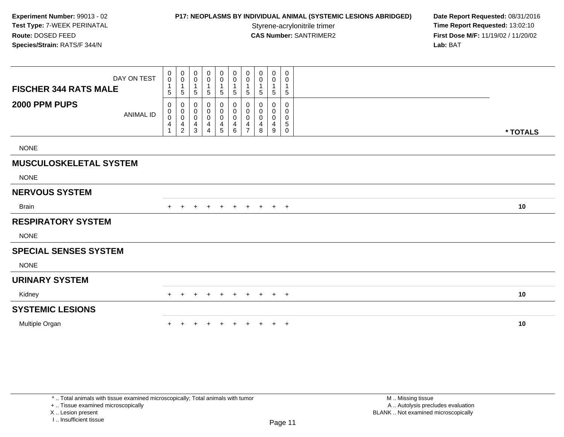## **P17: NEOPLASMS BY INDIVIDUAL ANIMAL (SYSTEMIC LESIONS ABRIDGED) Date Report Requested: 08/31/2016<br>Styrene-acrylonitrile trimer <b>Time Report Requested:** 13:02:10

**Time Report Requested: 13:02:10 CAS Number:** SANTRIMER2 **First Dose M/F:** 11/19/02 / 11/20/02 **Lab:** BAT

| <b>FISCHER 344 RATS MALE</b>  | DAY ON TEST      | $\pmb{0}$<br>$\pmb{0}$<br>$\mathbf 1$               | 0<br>$\pmb{0}$                                                  | $\pmb{0}$<br>$\pmb{0}$<br>$\mathbf 1$                         | 0<br>$\pmb{0}$                                             | $_{\rm 0}^{\rm 0}$<br>$\overline{1}$                                       | $\overline{0}$<br>$\boldsymbol{0}$<br>$\overline{1}$     | 0<br>0                             | $\pmb{0}$<br>0   | $\pmb{0}$<br>0                | 0<br>0<br>$\mathbf{1}$                             |          |
|-------------------------------|------------------|-----------------------------------------------------|-----------------------------------------------------------------|---------------------------------------------------------------|------------------------------------------------------------|----------------------------------------------------------------------------|----------------------------------------------------------|------------------------------------|------------------|-------------------------------|----------------------------------------------------|----------|
|                               |                  | 5                                                   | 5                                                               | 5                                                             | 5                                                          | $\sqrt{5}$                                                                 | 5                                                        | 5                                  | 5                | 5                             | $\sqrt{5}$                                         |          |
| 2000 PPM PUPS                 | <b>ANIMAL ID</b> | 0<br>0<br>$\pmb{0}$<br>$\overline{\mathbf{4}}$<br>1 | 0<br>$\pmb{0}$<br>$\pmb{0}$<br>$\overline{4}$<br>$\overline{2}$ | 0<br>$\pmb{0}$<br>$\pmb{0}$<br>$\overline{4}$<br>$\mathbf{3}$ | $\pmb{0}$<br>$\pmb{0}$<br>$\pmb{0}$<br>4<br>$\overline{4}$ | $\begin{smallmatrix} 0\\0 \end{smallmatrix}$<br>$\pmb{0}$<br>$\frac{4}{5}$ | 0<br>$\pmb{0}$<br>$\pmb{0}$<br>$\overline{4}$<br>$\,6\,$ | 0<br>0<br>0<br>4<br>$\overline{7}$ | 0<br>0<br>4<br>8 | 0<br>0<br>$\pmb{0}$<br>4<br>9 | $\mathbf 0$<br>0<br>0<br>$\sqrt{5}$<br>$\mathbf 0$ | * TOTALS |
| <b>NONE</b>                   |                  |                                                     |                                                                 |                                                               |                                                            |                                                                            |                                                          |                                    |                  |                               |                                                    |          |
| <b>MUSCULOSKELETAL SYSTEM</b> |                  |                                                     |                                                                 |                                                               |                                                            |                                                                            |                                                          |                                    |                  |                               |                                                    |          |
| <b>NONE</b>                   |                  |                                                     |                                                                 |                                                               |                                                            |                                                                            |                                                          |                                    |                  |                               |                                                    |          |
| <b>NERVOUS SYSTEM</b>         |                  |                                                     |                                                                 |                                                               |                                                            |                                                                            |                                                          |                                    |                  |                               |                                                    |          |
| <b>Brain</b>                  |                  |                                                     |                                                                 |                                                               | $\pm$                                                      | $\pm$                                                                      | $\pm$                                                    | $\pm$                              | $\pm$            | $+$                           | $+$                                                | 10       |
| <b>RESPIRATORY SYSTEM</b>     |                  |                                                     |                                                                 |                                                               |                                                            |                                                                            |                                                          |                                    |                  |                               |                                                    |          |
| <b>NONE</b>                   |                  |                                                     |                                                                 |                                                               |                                                            |                                                                            |                                                          |                                    |                  |                               |                                                    |          |
| <b>SPECIAL SENSES SYSTEM</b>  |                  |                                                     |                                                                 |                                                               |                                                            |                                                                            |                                                          |                                    |                  |                               |                                                    |          |
| <b>NONE</b>                   |                  |                                                     |                                                                 |                                                               |                                                            |                                                                            |                                                          |                                    |                  |                               |                                                    |          |
| <b>URINARY SYSTEM</b>         |                  |                                                     |                                                                 |                                                               |                                                            |                                                                            |                                                          |                                    |                  |                               |                                                    |          |
| Kidney                        |                  |                                                     |                                                                 |                                                               |                                                            |                                                                            |                                                          | $\div$                             | $\pm$            | $+$                           | $+$                                                | 10       |
| <b>SYSTEMIC LESIONS</b>       |                  |                                                     |                                                                 |                                                               |                                                            |                                                                            |                                                          |                                    |                  |                               |                                                    |          |
| Multiple Organ                |                  |                                                     |                                                                 |                                                               |                                                            |                                                                            |                                                          |                                    |                  | $+$                           | $+$                                                | 10       |

+ .. Tissue examined microscopically

X .. Lesion present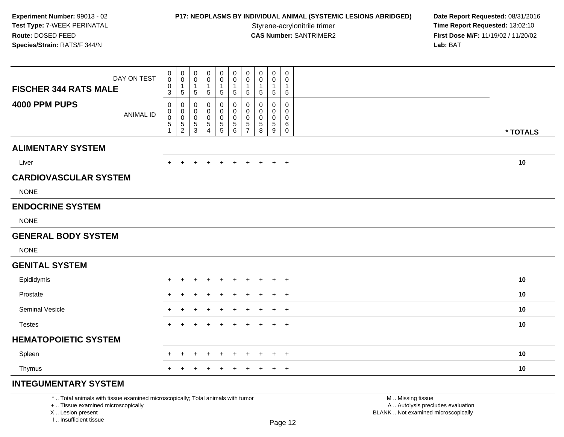## **P17: NEOPLASMS BY INDIVIDUAL ANIMAL (SYSTEMIC LESIONS ABRIDGED) Date Report Requested: 08/31/2016<br>Styrene-acrylonitrile trimer <b>Time Report Requested: 13:02:10**

**Time Report Requested: 13:02:10 CAS Number:** SANTRIMER2 **First Dose M/F:** 11/19/02 / 11/20/02 **Lab:** BAT

| DAY ON TEST<br><b>FISCHER 344 RATS MALE</b> | 0<br>$\mathsf{O}\xspace$<br>$\pmb{0}$<br>$\mathfrak{S}$ | $\begin{smallmatrix}0\0\0\end{smallmatrix}$<br>$\mathbf{1}$<br>$\overline{5}$ | 0<br>$\mathsf 0$<br>$\mathbf 1$<br>$\overline{5}$       | 0<br>0<br>$\mathbf 1$<br>$\sqrt{5}$          | $\begin{smallmatrix} 0\\0 \end{smallmatrix}$<br>$\mathbf{1}$<br>$\sqrt{5}$ | 0<br>$\mathbf 0$<br>$\mathbf{1}$<br>$\overline{5}$ | $\pmb{0}$<br>$\overline{0}$<br>$\mathbf{1}$<br>$\overline{5}$   | 0<br>0<br>1<br>5                       | $\mathbf 0$<br>$\pmb{0}$<br>$\mathbf{1}$<br>$\overline{5}$  | 0<br>$\mathbf 0$<br>$\mathbf{1}$<br>$\sqrt{5}$              |          |
|---------------------------------------------|---------------------------------------------------------|-------------------------------------------------------------------------------|---------------------------------------------------------|----------------------------------------------|----------------------------------------------------------------------------|----------------------------------------------------|-----------------------------------------------------------------|----------------------------------------|-------------------------------------------------------------|-------------------------------------------------------------|----------|
| 4000 PPM PUPS<br><b>ANIMAL ID</b>           | 0<br>0<br>$\pmb{0}$<br>$\overline{5}$<br>$\mathbf{1}$   | 0<br>$\mathbf 0$<br>$\mathbf 0$<br>$\frac{5}{2}$                              | 0<br>0<br>$\pmb{0}$<br>$\overline{5}$<br>$\mathfrak{S}$ | 0<br>0<br>0<br>$\,$ 5 $\,$<br>$\overline{4}$ | 0<br>0<br>$\pmb{0}$<br>$\overline{5}$                                      | 0<br>0<br>0<br>$\sqrt{5}$<br>$\,6\,$               | 0<br>$\mathbf 0$<br>$\mathbf 0$<br>$\sqrt{5}$<br>$\overline{7}$ | 0<br>$\Omega$<br>0<br>$\mathbf 5$<br>8 | 0<br>$\mathbf 0$<br>0<br>$\overline{5}$<br>$\boldsymbol{9}$ | $\mathbf 0$<br>$\Omega$<br>$\mathbf{0}$<br>6<br>$\mathbf 0$ | * TOTALS |
| <b>ALIMENTARY SYSTEM</b>                    |                                                         |                                                                               |                                                         |                                              |                                                                            |                                                    |                                                                 |                                        |                                                             |                                                             |          |
| Liver                                       | $\ddot{}$                                               | $+$                                                                           | $+$                                                     | $+$                                          | $+$                                                                        | $+$                                                | $+$                                                             | $\ddot{}$                              |                                                             | $+$ $+$                                                     | 10       |
| <b>CARDIOVASCULAR SYSTEM</b>                |                                                         |                                                                               |                                                         |                                              |                                                                            |                                                    |                                                                 |                                        |                                                             |                                                             |          |
| <b>NONE</b>                                 |                                                         |                                                                               |                                                         |                                              |                                                                            |                                                    |                                                                 |                                        |                                                             |                                                             |          |
| <b>ENDOCRINE SYSTEM</b>                     |                                                         |                                                                               |                                                         |                                              |                                                                            |                                                    |                                                                 |                                        |                                                             |                                                             |          |
| <b>NONE</b>                                 |                                                         |                                                                               |                                                         |                                              |                                                                            |                                                    |                                                                 |                                        |                                                             |                                                             |          |
| <b>GENERAL BODY SYSTEM</b>                  |                                                         |                                                                               |                                                         |                                              |                                                                            |                                                    |                                                                 |                                        |                                                             |                                                             |          |
| <b>NONE</b>                                 |                                                         |                                                                               |                                                         |                                              |                                                                            |                                                    |                                                                 |                                        |                                                             |                                                             |          |
| <b>GENITAL SYSTEM</b>                       |                                                         |                                                                               |                                                         |                                              |                                                                            |                                                    |                                                                 |                                        |                                                             |                                                             |          |
| Epididymis                                  | ÷                                                       |                                                                               |                                                         |                                              |                                                                            | ÷                                                  |                                                                 |                                        |                                                             | $^{+}$                                                      | 10       |
| Prostate                                    |                                                         |                                                                               |                                                         |                                              |                                                                            |                                                    |                                                                 |                                        |                                                             | $+$                                                         | 10       |
| Seminal Vesicle                             | $\div$                                                  |                                                                               | ÷                                                       |                                              |                                                                            | $\ddot{}$                                          | $\pm$                                                           | $\pm$                                  | $+$                                                         | $+$                                                         | 10       |
| <b>Testes</b>                               | $+$                                                     |                                                                               | $\div$                                                  | ÷                                            |                                                                            | $\ddot{}$                                          | $\ddot{}$                                                       | $\ddot{}$                              | $+$                                                         | $+$                                                         | 10       |
| <b>HEMATOPOIETIC SYSTEM</b>                 |                                                         |                                                                               |                                                         |                                              |                                                                            |                                                    |                                                                 |                                        |                                                             |                                                             |          |
| Spleen                                      | $\div$                                                  | $\ddot{}$                                                                     | $\ddot{}$                                               | $\pm$                                        | $\overline{+}$                                                             | $+$                                                | $+$                                                             | $\pm$                                  | $+$                                                         | $+$                                                         | 10       |
| Thymus                                      | $+$                                                     |                                                                               | ÷                                                       | ٠                                            | +                                                                          | $\ddot{}$                                          | $\ddot{}$                                                       | $\ddot{}$                              | $+$                                                         | $+$                                                         | 10       |
| <b>INTEGUMENTARY SYSTEM</b>                 |                                                         |                                                                               |                                                         |                                              |                                                                            |                                                    |                                                                 |                                        |                                                             |                                                             |          |

\* .. Total animals with tissue examined microscopically; Total animals with tumor

+ .. Tissue examined microscopically

X .. Lesion present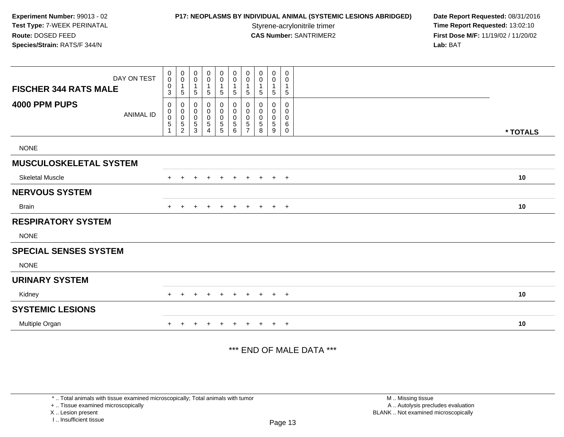### **P17: NEOPLASMS BY INDIVIDUAL ANIMAL (SYSTEMIC LESIONS ABRIDGED) Date Report Requested: 08/31/2016<br>Styrene-acrylonitrile trimer <b>Time Report Requested: 13:02:10**

**Time Report Requested: 13:02:10 CAS Number:** SANTRIMER2 **First Dose M/F:** 11/19/02 / 11/20/02 **Lab:** BAT

| <b>FISCHER 344 RATS MALE</b>  | DAY ON TEST      | $\mathbf 0$<br>$\boldsymbol{0}$<br>$\boldsymbol{0}$<br>$\ensuremath{\mathsf{3}}$ | $\pmb{0}$<br>$\pmb{0}$<br>$\mathbf 1$<br>$\sqrt{5}$                      | 0<br>$\mathbf 0$<br>$\overline{1}$<br>$\sqrt{5}$                 | $\pmb{0}$<br>$\pmb{0}$<br>$\mathbf{1}$<br>$\sqrt{5}$        | 0<br>$\mathsf{O}\xspace$<br>5          | $\pmb{0}$<br>$\pmb{0}$<br>$\mathbf 1$<br>$\,$ 5 $\,$    | 0<br>$\mathbf 0$<br>$\mathbf{1}$<br>5                  | 0<br>0<br>5           | $\boldsymbol{0}$<br>0<br>1<br>$\sqrt{5}$      | 0<br>0<br>1<br>$\,$ 5 $\,$ |          |
|-------------------------------|------------------|----------------------------------------------------------------------------------|--------------------------------------------------------------------------|------------------------------------------------------------------|-------------------------------------------------------------|----------------------------------------|---------------------------------------------------------|--------------------------------------------------------|-----------------------|-----------------------------------------------|----------------------------|----------|
| 4000 PPM PUPS                 | <b>ANIMAL ID</b> | 0<br>0<br>$\begin{smallmatrix}0\0\5\end{smallmatrix}$<br>$\overline{1}$          | $\pmb{0}$<br>$\begin{matrix} 0 \\ 0 \\ 5 \end{matrix}$<br>$\overline{c}$ | 0<br>$\boldsymbol{0}$<br>$\pmb{0}$<br>$\sqrt{5}$<br>$\mathbf{3}$ | 0<br>$\pmb{0}$<br>$\pmb{0}$<br>$\sqrt{5}$<br>$\overline{4}$ | 0<br>$\mathbf 0$<br>0<br>$\frac{5}{5}$ | $\pmb{0}$<br>$\pmb{0}$<br>$\pmb{0}$<br>$\overline{5}$ 6 | 0<br>0<br>$\mathbf 0$<br>$\,$ 5 $\,$<br>$\overline{7}$ | 0<br>0<br>0<br>5<br>8 | 0<br>0<br>$\boldsymbol{0}$<br>$\sqrt{5}$<br>9 | 0<br>0<br>0<br>6<br>0      | * TOTALS |
| <b>NONE</b>                   |                  |                                                                                  |                                                                          |                                                                  |                                                             |                                        |                                                         |                                                        |                       |                                               |                            |          |
| <b>MUSCULOSKELETAL SYSTEM</b> |                  |                                                                                  |                                                                          |                                                                  |                                                             |                                        |                                                         |                                                        |                       |                                               |                            |          |
| <b>Skeletal Muscle</b>        |                  | $+$                                                                              | $\ddot{}$                                                                | ٠                                                                | $\ddot{}$                                                   | $\overline{+}$                         | $\ddot{}$                                               | $+$                                                    | $+$                   |                                               | $+$ $+$                    | 10       |
| <b>NERVOUS SYSTEM</b>         |                  |                                                                                  |                                                                          |                                                                  |                                                             |                                        |                                                         |                                                        |                       |                                               |                            |          |
| <b>Brain</b>                  |                  | $+$                                                                              | $\ddot{}$                                                                |                                                                  | $\ddot{}$                                                   | $\ddot{}$                              | $\ddot{}$                                               | $+$                                                    | $\ddot{}$             | $+$                                           | $+$                        | 10       |
| <b>RESPIRATORY SYSTEM</b>     |                  |                                                                                  |                                                                          |                                                                  |                                                             |                                        |                                                         |                                                        |                       |                                               |                            |          |
| <b>NONE</b>                   |                  |                                                                                  |                                                                          |                                                                  |                                                             |                                        |                                                         |                                                        |                       |                                               |                            |          |
| <b>SPECIAL SENSES SYSTEM</b>  |                  |                                                                                  |                                                                          |                                                                  |                                                             |                                        |                                                         |                                                        |                       |                                               |                            |          |
| <b>NONE</b>                   |                  |                                                                                  |                                                                          |                                                                  |                                                             |                                        |                                                         |                                                        |                       |                                               |                            |          |
| <b>URINARY SYSTEM</b>         |                  |                                                                                  |                                                                          |                                                                  |                                                             |                                        |                                                         |                                                        |                       |                                               |                            |          |
| Kidney                        |                  |                                                                                  |                                                                          |                                                                  |                                                             |                                        |                                                         | $\pm$                                                  |                       |                                               | $+$                        | 10       |
| <b>SYSTEMIC LESIONS</b>       |                  |                                                                                  |                                                                          |                                                                  |                                                             |                                        |                                                         |                                                        |                       |                                               |                            |          |
| Multiple Organ                |                  | $\pm$                                                                            |                                                                          |                                                                  |                                                             |                                        |                                                         |                                                        |                       | $\ddot{}$                                     | $+$                        | 10       |

\*\*\* END OF MALE DATA \*\*\*

\* .. Total animals with tissue examined microscopically; Total animals with tumor

+ .. Tissue examined microscopically

X .. Lesion present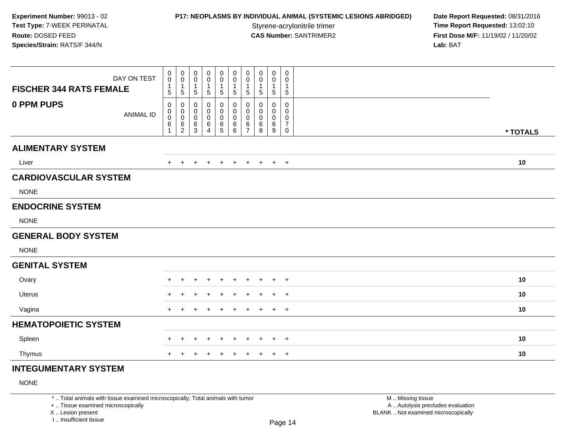### **P17: NEOPLASMS BY INDIVIDUAL ANIMAL (SYSTEMIC LESIONS ABRIDGED) Date Report Requested: 08/31/2016<br>Styrene-acrylonitrile trimer <b>Time Report Requested: 13:02:10**

**Time Report Requested: 13:02:10 CAS Number:** SANTRIMER2 **First Dose M/F:** 11/19/02 / 11/20/02 **Lab:** BAT

| DAY ON TEST<br><b>FISCHER 344 RATS FEMALE</b> | 0<br>$\mathbf 0$<br>$\mathbf{1}$<br>$\sqrt{5}$                          | $\mathbf 0$<br>$\mathbf 0$<br>$\overline{1}$<br>$\sqrt{5}$      | 0<br>0<br>$\overline{1}$<br>5                                          | 0<br>0<br>$\mathbf{1}$<br>5                     | $\mathbf 0$<br>$\mathsf{O}\xspace$<br>$\mathbf{1}$<br>5 | $\mathbf 0$<br>$\mathbf 0$<br>$\mathbf{1}$<br>$\sqrt{5}$ | $\pmb{0}$<br>$\pmb{0}$<br>$\mathbf{1}$<br>$\sqrt{5}$             | $\mathbf 0$<br>$\mathbf 0$<br>$\overline{1}$<br>$\sqrt{5}$ | $\mathbf 0$<br>0<br>$\mathbf{1}$<br>$\sqrt{5}$ | 0<br>0<br>1<br>5                   |          |
|-----------------------------------------------|-------------------------------------------------------------------------|-----------------------------------------------------------------|------------------------------------------------------------------------|-------------------------------------------------|---------------------------------------------------------|----------------------------------------------------------|------------------------------------------------------------------|------------------------------------------------------------|------------------------------------------------|------------------------------------|----------|
| 0 PPM PUPS<br><b>ANIMAL ID</b>                | $\mathbf 0$<br>$\pmb{0}$<br>$\ddot{\mathbf{0}}$<br>$6\overline{6}$<br>1 | $\mathbf 0$<br>$\boldsymbol{0}$<br>$\mathsf 0$<br>$\frac{6}{2}$ | $\mathbf 0$<br>$\mathbf 0$<br>$\boldsymbol{0}$<br>$6\phantom{1}6$<br>3 | $\mathbf 0$<br>$\pmb{0}$<br>$\pmb{0}$<br>6<br>4 | 0<br>$\boldsymbol{0}$<br>0<br>$\frac{6}{5}$             | $\pmb{0}$<br>$\pmb{0}$<br>$\pmb{0}$<br>$\frac{6}{6}$     | $\mathbf 0$<br>$\pmb{0}$<br>$\pmb{0}$<br>$\,6$<br>$\overline{7}$ | 0<br>0<br>0<br>6<br>8                                      | $\mathbf 0$<br>0<br>$\pmb{0}$<br>$\,6\,$<br>9  | 0<br>0<br>0<br>$\overline{7}$<br>0 | * TOTALS |
| <b>ALIMENTARY SYSTEM</b>                      |                                                                         |                                                                 |                                                                        |                                                 |                                                         |                                                          |                                                                  |                                                            |                                                |                                    |          |
| Liver                                         | $+$                                                                     | $+$                                                             | $\ddot{}$                                                              | $\ddot{}$                                       | $+$                                                     | $+$                                                      | $+$                                                              | $+$                                                        | $+$ $+$                                        |                                    | 10       |
| <b>CARDIOVASCULAR SYSTEM</b>                  |                                                                         |                                                                 |                                                                        |                                                 |                                                         |                                                          |                                                                  |                                                            |                                                |                                    |          |
| <b>NONE</b>                                   |                                                                         |                                                                 |                                                                        |                                                 |                                                         |                                                          |                                                                  |                                                            |                                                |                                    |          |
| <b>ENDOCRINE SYSTEM</b>                       |                                                                         |                                                                 |                                                                        |                                                 |                                                         |                                                          |                                                                  |                                                            |                                                |                                    |          |
| <b>NONE</b>                                   |                                                                         |                                                                 |                                                                        |                                                 |                                                         |                                                          |                                                                  |                                                            |                                                |                                    |          |
| <b>GENERAL BODY SYSTEM</b>                    |                                                                         |                                                                 |                                                                        |                                                 |                                                         |                                                          |                                                                  |                                                            |                                                |                                    |          |
| <b>NONE</b>                                   |                                                                         |                                                                 |                                                                        |                                                 |                                                         |                                                          |                                                                  |                                                            |                                                |                                    |          |
| <b>GENITAL SYSTEM</b>                         |                                                                         |                                                                 |                                                                        |                                                 |                                                         |                                                          |                                                                  |                                                            |                                                |                                    |          |
| Ovary                                         | $\ddot{}$                                                               | $\pm$                                                           |                                                                        |                                                 | $\div$                                                  | $\ddot{}$                                                | $\ddot{}$                                                        | $+$                                                        | $\pm$                                          | $+$                                | 10       |
| <b>Uterus</b>                                 | ٠.                                                                      |                                                                 |                                                                        |                                                 |                                                         |                                                          |                                                                  |                                                            | $\div$                                         | $\overline{+}$                     | 10       |
| Vagina                                        | $+$                                                                     | $\div$                                                          |                                                                        |                                                 |                                                         | $\ddot{}$                                                | $\ddot{}$                                                        |                                                            | $\ddot{}$                                      | $+$                                | 10       |
| <b>HEMATOPOIETIC SYSTEM</b>                   |                                                                         |                                                                 |                                                                        |                                                 |                                                         |                                                          |                                                                  |                                                            |                                                |                                    |          |
| Spleen                                        | $+$                                                                     | $\ddot{}$                                                       | $\ddot{}$                                                              | $\ddot{}$                                       | $\ddot{}$                                               | $+$                                                      | $\ddot{}$                                                        | $\ddot{}$                                                  | $\ddot{}$                                      | $+$                                | 10       |
| Thymus                                        | $+$                                                                     | $\div$                                                          |                                                                        | ÷                                               | $\pm$                                                   | $+$                                                      | $\pm$                                                            | $+$                                                        | $+$                                            | $+$                                | 10       |
| <b>INTEGUMENTARY SYSTEM</b>                   |                                                                         |                                                                 |                                                                        |                                                 |                                                         |                                                          |                                                                  |                                                            |                                                |                                    |          |

### NONE

\* .. Total animals with tissue examined microscopically; Total animals with tumor

+ .. Tissue examined microscopically

X .. Lesion present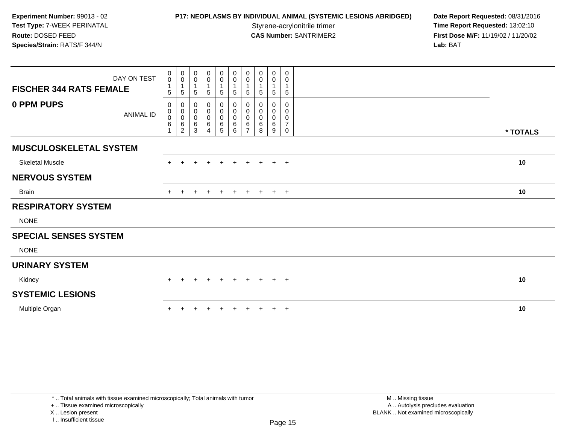**P17: NEOPLASMS BY INDIVIDUAL ANIMAL (SYSTEMIC LESIONS ABRIDGED) Date Report Requested: 08/31/2016<br>Styrene-acrylonitrile trimer <b>Time Report Requested: 13:02:10 Time Report Requested: 13:02:10 CAS Number:** SANTRIMER2 **First Dose M/F:** 11/19/02 / 11/20/02 **Lab:** BAT

| DAY ON TEST<br><b>FISCHER 344 RATS FEMALE</b> | $\boldsymbol{0}$<br>$\mathbf 0$<br>$\mathbf{1}$<br>$5\phantom{.0}$ | 0<br>$\mathbf 0$<br>$\mathbf{1}$<br>5                  | 0<br>$\mathbf 0$<br>5         | $\mathbf 0$<br>$\pmb{0}$<br>$\mathbf{1}$<br>5 | 0<br>0<br>$\mathbf{1}$<br>5 | $\pmb{0}$<br>$\pmb{0}$<br>$\mathbf{1}$<br>$\overline{5}$ | 0<br>0<br>5              | 0<br>0<br>5           | 0<br>$\pmb{0}$<br>5           | 0<br>$\mathbf 0$<br>$\mathbf 1$<br>5                   |          |
|-----------------------------------------------|--------------------------------------------------------------------|--------------------------------------------------------|-------------------------------|-----------------------------------------------|-----------------------------|----------------------------------------------------------|--------------------------|-----------------------|-------------------------------|--------------------------------------------------------|----------|
| 0 PPM PUPS<br><b>ANIMAL ID</b>                | 0<br>$\pmb{0}$<br>$\pmb{0}$<br>6<br>$\blacktriangleleft$           | 0<br>$\mathbf 0$<br>$\mathbf 0$<br>6<br>$\overline{c}$ | 0<br>0<br>$\pmb{0}$<br>6<br>3 | 0<br>$\pmb{0}$<br>$\pmb{0}$<br>$\,6\,$<br>4   | 0<br>0<br>0<br>6<br>5       | 0<br>$\pmb{0}$<br>$\pmb{0}$<br>$\,6$<br>6                | 0<br>0<br>$\pmb{0}$<br>6 | 0<br>0<br>0<br>6<br>8 | 0<br>0<br>$\pmb{0}$<br>6<br>9 | $\mathbf 0$<br>0<br>0<br>$\overline{7}$<br>$\mathbf 0$ | * TOTALS |
| <b>MUSCULOSKELETAL SYSTEM</b>                 |                                                                    |                                                        |                               |                                               |                             |                                                          |                          |                       |                               |                                                        |          |
| <b>Skeletal Muscle</b>                        |                                                                    |                                                        |                               |                                               | $\ddot{}$                   | $\ddot{}$                                                | $\ddot{}$                | $+$                   | $+$                           | $+$                                                    | 10       |
| <b>NERVOUS SYSTEM</b>                         |                                                                    |                                                        |                               |                                               |                             |                                                          |                          |                       |                               |                                                        |          |
| <b>Brain</b>                                  | $+$                                                                | $\pm$                                                  | ÷.                            | $\overline{ }$                                | $+$                         | $+$                                                      | $+$                      | $+$                   | $+$ $+$                       |                                                        | 10       |
| <b>RESPIRATORY SYSTEM</b>                     |                                                                    |                                                        |                               |                                               |                             |                                                          |                          |                       |                               |                                                        |          |
| <b>NONE</b>                                   |                                                                    |                                                        |                               |                                               |                             |                                                          |                          |                       |                               |                                                        |          |
| <b>SPECIAL SENSES SYSTEM</b>                  |                                                                    |                                                        |                               |                                               |                             |                                                          |                          |                       |                               |                                                        |          |
| <b>NONE</b>                                   |                                                                    |                                                        |                               |                                               |                             |                                                          |                          |                       |                               |                                                        |          |
| <b>URINARY SYSTEM</b>                         |                                                                    |                                                        |                               |                                               |                             |                                                          |                          |                       |                               |                                                        |          |
| Kidney                                        | $+$                                                                | $\pm$                                                  | $\pm$                         | $\pm$                                         | $+$                         | $+$                                                      | $+$                      | $+$                   | $+$                           | $+$                                                    | 10       |
| <b>SYSTEMIC LESIONS</b>                       |                                                                    |                                                        |                               |                                               |                             |                                                          |                          |                       |                               |                                                        |          |
| Multiple Organ                                |                                                                    |                                                        |                               |                                               |                             |                                                          |                          |                       | $+$                           | $+$                                                    | 10       |

+ .. Tissue examined microscopically

X .. Lesion present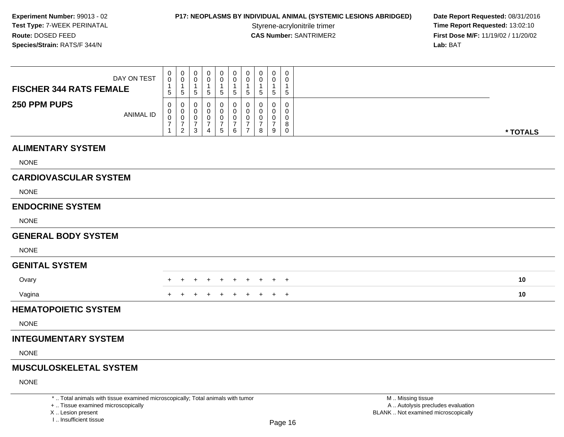# **P17: NEOPLASMS BY INDIVIDUAL ANIMAL (SYSTEMIC LESIONS ABRIDGED) Date Report Requested: 08/31/2016<br>Styrene-acrylonitrile trimer <b>Time Report Requested: 13:02:10**

Styrene-acrylonitrile trimer<br> **CAS Number:** SANTRIMER2<br> **CAS Number:** SANTRIMER2<br> **Time Report Requested:** 13:02:10 **First Dose M/F:** 11/19/02 / 11/20/02 Lab: BAT **Lab:** BAT

| <b>FISCHER 344 RATS FEMALE</b><br>250 PPM PUPS                                                                        | DAY ON TEST<br><b>ANIMAL ID</b> | 0<br>$\mathbf 0$<br>$\mathbf{1}$<br>$5\phantom{.0}$<br>$\Omega$<br>$\mathbf 0$<br>0<br>$\boldsymbol{7}$ | $\pmb{0}$<br>$\mathbf 0$<br>$\mathbf{1}$<br>$\sqrt{5}$<br>0<br>$\mathbf 0$<br>$\pmb{0}$<br>$\frac{7}{2}$ | 0<br>$\mathbf 0$<br>$\mathbf{1}$<br>5<br>0<br>0<br>$\mathbf 0$<br>$\frac{7}{3}$ | 0<br>0<br>$\mathbf 1$<br>$5\phantom{.0}$<br>0<br>0<br>0<br>$\overline{7}$ | $\mathbf 0$<br>0<br>-1<br>$\sqrt{5}$<br>$\Omega$<br>0<br>0<br>$7\over 5$ | $\pmb{0}$<br>0<br>1<br>$5\phantom{.0}$<br>0<br>0<br>$\pmb{0}$<br>$\boldsymbol{7}$ | $\mathbf 0$<br>0<br>$\mathbf{1}$<br>$5\phantom{.0}$<br>0<br>$\mathbf 0$<br>0<br>$\overline{7}$ | $\pmb{0}$<br>$\mathbf 0$<br>$\mathbf{1}$<br>$\overline{5}$<br>0<br>$\mathbf 0$<br>0<br>$\overline{7}$ | $\mathbf 0$<br>0<br>$\overline{1}$<br>$\sqrt{5}$<br>$\Omega$<br>$\Omega$<br>0<br>$\overline{7}$ | $\mathbf 0$<br>$\mathbf{0}$<br>$\mathbf{1}$<br>$\sqrt{5}$<br>$\Omega$<br>$\mathbf 0$<br>0<br>8 |                                                        |          |
|-----------------------------------------------------------------------------------------------------------------------|---------------------------------|---------------------------------------------------------------------------------------------------------|----------------------------------------------------------------------------------------------------------|---------------------------------------------------------------------------------|---------------------------------------------------------------------------|--------------------------------------------------------------------------|-----------------------------------------------------------------------------------|------------------------------------------------------------------------------------------------|-------------------------------------------------------------------------------------------------------|-------------------------------------------------------------------------------------------------|------------------------------------------------------------------------------------------------|--------------------------------------------------------|----------|
|                                                                                                                       |                                 | $\mathbf{1}$                                                                                            |                                                                                                          |                                                                                 | $\overline{4}$                                                            |                                                                          | 6                                                                                 | $\overline{7}$                                                                                 | 8                                                                                                     | 9                                                                                               | $\mathbf 0$                                                                                    |                                                        | * TOTALS |
| <b>ALIMENTARY SYSTEM</b>                                                                                              |                                 |                                                                                                         |                                                                                                          |                                                                                 |                                                                           |                                                                          |                                                                                   |                                                                                                |                                                                                                       |                                                                                                 |                                                                                                |                                                        |          |
| <b>NONE</b>                                                                                                           |                                 |                                                                                                         |                                                                                                          |                                                                                 |                                                                           |                                                                          |                                                                                   |                                                                                                |                                                                                                       |                                                                                                 |                                                                                                |                                                        |          |
| <b>CARDIOVASCULAR SYSTEM</b>                                                                                          |                                 |                                                                                                         |                                                                                                          |                                                                                 |                                                                           |                                                                          |                                                                                   |                                                                                                |                                                                                                       |                                                                                                 |                                                                                                |                                                        |          |
| <b>NONE</b>                                                                                                           |                                 |                                                                                                         |                                                                                                          |                                                                                 |                                                                           |                                                                          |                                                                                   |                                                                                                |                                                                                                       |                                                                                                 |                                                                                                |                                                        |          |
| <b>ENDOCRINE SYSTEM</b>                                                                                               |                                 |                                                                                                         |                                                                                                          |                                                                                 |                                                                           |                                                                          |                                                                                   |                                                                                                |                                                                                                       |                                                                                                 |                                                                                                |                                                        |          |
| <b>NONE</b>                                                                                                           |                                 |                                                                                                         |                                                                                                          |                                                                                 |                                                                           |                                                                          |                                                                                   |                                                                                                |                                                                                                       |                                                                                                 |                                                                                                |                                                        |          |
| <b>GENERAL BODY SYSTEM</b>                                                                                            |                                 |                                                                                                         |                                                                                                          |                                                                                 |                                                                           |                                                                          |                                                                                   |                                                                                                |                                                                                                       |                                                                                                 |                                                                                                |                                                        |          |
| <b>NONE</b>                                                                                                           |                                 |                                                                                                         |                                                                                                          |                                                                                 |                                                                           |                                                                          |                                                                                   |                                                                                                |                                                                                                       |                                                                                                 |                                                                                                |                                                        |          |
| <b>GENITAL SYSTEM</b>                                                                                                 |                                 |                                                                                                         |                                                                                                          |                                                                                 |                                                                           |                                                                          |                                                                                   |                                                                                                |                                                                                                       |                                                                                                 |                                                                                                |                                                        |          |
| Ovary                                                                                                                 |                                 |                                                                                                         | $+$                                                                                                      |                                                                                 | $\ddot{}$                                                                 | $+$                                                                      | $+$                                                                               | $+$                                                                                            | $+$                                                                                                   |                                                                                                 | $+$ $+$                                                                                        |                                                        | 10       |
| Vagina                                                                                                                |                                 |                                                                                                         |                                                                                                          |                                                                                 |                                                                           |                                                                          | $\overline{+}$                                                                    | $+$                                                                                            | $+$                                                                                                   |                                                                                                 | $+$ $+$                                                                                        |                                                        | 10       |
| <b>HEMATOPOIETIC SYSTEM</b>                                                                                           |                                 |                                                                                                         |                                                                                                          |                                                                                 |                                                                           |                                                                          |                                                                                   |                                                                                                |                                                                                                       |                                                                                                 |                                                                                                |                                                        |          |
| <b>NONE</b>                                                                                                           |                                 |                                                                                                         |                                                                                                          |                                                                                 |                                                                           |                                                                          |                                                                                   |                                                                                                |                                                                                                       |                                                                                                 |                                                                                                |                                                        |          |
| <b>INTEGUMENTARY SYSTEM</b>                                                                                           |                                 |                                                                                                         |                                                                                                          |                                                                                 |                                                                           |                                                                          |                                                                                   |                                                                                                |                                                                                                       |                                                                                                 |                                                                                                |                                                        |          |
| <b>NONE</b>                                                                                                           |                                 |                                                                                                         |                                                                                                          |                                                                                 |                                                                           |                                                                          |                                                                                   |                                                                                                |                                                                                                       |                                                                                                 |                                                                                                |                                                        |          |
| <b>MUSCULOSKELETAL SYSTEM</b>                                                                                         |                                 |                                                                                                         |                                                                                                          |                                                                                 |                                                                           |                                                                          |                                                                                   |                                                                                                |                                                                                                       |                                                                                                 |                                                                                                |                                                        |          |
| <b>NONE</b>                                                                                                           |                                 |                                                                                                         |                                                                                                          |                                                                                 |                                                                           |                                                                          |                                                                                   |                                                                                                |                                                                                                       |                                                                                                 |                                                                                                |                                                        |          |
| *  Total animals with tissue examined microscopically; Total animals with tumor<br>+  Tissue examined microscopically |                                 |                                                                                                         |                                                                                                          |                                                                                 |                                                                           |                                                                          |                                                                                   |                                                                                                |                                                                                                       |                                                                                                 |                                                                                                | M  Missing tissue<br>A  Autolysis precludes evaluation |          |

 Lesion present BLANK .. Not examined microscopicallyX .. Lesion present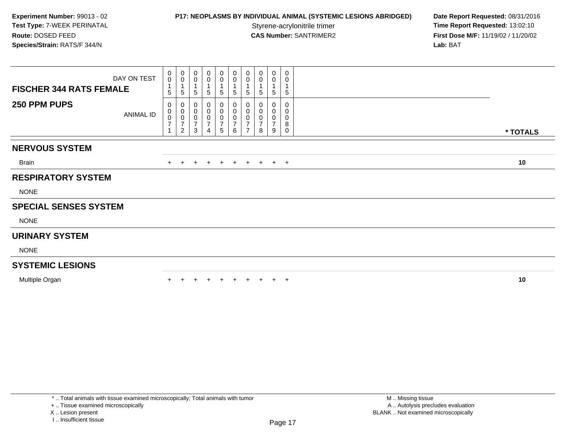## **P17: NEOPLASMS BY INDIVIDUAL ANIMAL (SYSTEMIC LESIONS ABRIDGED) Date Report Requested: 08/31/2016<br>Styrene-acrylonitrile trimer <b>Time Report Requested: 13:02:10**

**Time Report Requested: 13:02:10 CAS Number:** SANTRIMER2 **First Dose M/F:** 11/19/02 / 11/20/02 **Lab:** BAT

| $\begin{smallmatrix}0\0\0\end{smallmatrix}$<br>$\mathbf{1}$<br>5 | $\pmb{0}$<br>$\mathbf 0$<br>5                         | 0<br>$\pmb{0}$<br>$\overline{1}$<br>5 | 0<br>0<br>1<br>5                                        | $\mathbf 0$<br>$\pmb{0}$<br>$\mathbf{1}$<br>5                | 0<br>$\pmb{0}$<br>$\mathbf{1}$<br>$\mathbf 5$ | 0<br>$\pmb{0}$<br>5                             | 0<br>5 | 0<br>$\pmb{0}$<br>$\overline{ }$<br>5 | 0<br>0<br>$\sqrt{5}$                |                        |          |
|------------------------------------------------------------------|-------------------------------------------------------|---------------------------------------|---------------------------------------------------------|--------------------------------------------------------------|-----------------------------------------------|-------------------------------------------------|--------|---------------------------------------|-------------------------------------|------------------------|----------|
| 0<br>$\pmb{0}$<br>$\pmb{0}$<br>$\overline{7}$<br>$\mathbf{1}$    | 0<br>0<br>$\,0\,$<br>$\overline{7}$<br>$\overline{2}$ | 0<br>0<br>0<br>$\overline{7}$<br>3    | 0<br>$\pmb{0}$<br>0<br>$\overline{7}$<br>$\overline{4}$ | 0<br>$\pmb{0}$<br>$\pmb{0}$<br>$\overline{\mathcal{I}}$<br>5 | 0<br>0<br>0<br>$\overline{7}$<br>6            | 0<br>0<br>0<br>$\overline{ }$<br>$\overline{ }$ | 8      | 0<br>0<br>0<br>$\overline{ }$<br>9    | $\Omega$<br>0<br>0<br>8<br>$\Omega$ |                        | * TOTALS |
|                                                                  |                                                       |                                       |                                                         |                                                              |                                               |                                                 |        |                                       |                                     |                        |          |
|                                                                  |                                                       |                                       |                                                         |                                                              |                                               |                                                 |        |                                       |                                     |                        |          |
| $+$                                                              | $\ddot{}$                                             | $+$                                   | $+$                                                     |                                                              |                                               |                                                 |        |                                       |                                     |                        | 10       |
|                                                                  |                                                       |                                       |                                                         |                                                              |                                               |                                                 |        |                                       |                                     |                        |          |
|                                                                  |                                                       |                                       |                                                         |                                                              |                                               |                                                 |        |                                       |                                     |                        |          |
|                                                                  |                                                       |                                       |                                                         |                                                              |                                               |                                                 |        |                                       |                                     |                        |          |
|                                                                  |                                                       |                                       |                                                         |                                                              |                                               |                                                 |        |                                       |                                     |                        |          |
|                                                                  |                                                       |                                       |                                                         |                                                              |                                               |                                                 |        |                                       |                                     |                        |          |
|                                                                  |                                                       |                                       |                                                         |                                                              |                                               |                                                 |        |                                       |                                     |                        |          |
|                                                                  |                                                       |                                       |                                                         |                                                              |                                               |                                                 |        |                                       |                                     |                        |          |
|                                                                  |                                                       |                                       |                                                         |                                                              |                                               |                                                 |        | $+$                                   |                                     |                        | 10       |
|                                                                  |                                                       |                                       |                                                         |                                                              |                                               | $+$                                             | $+$    |                                       |                                     | $+$ $+$ $+$ $+$<br>$+$ |          |

\* .. Total animals with tissue examined microscopically; Total animals with tumor

+ .. Tissue examined microscopically

X .. Lesion present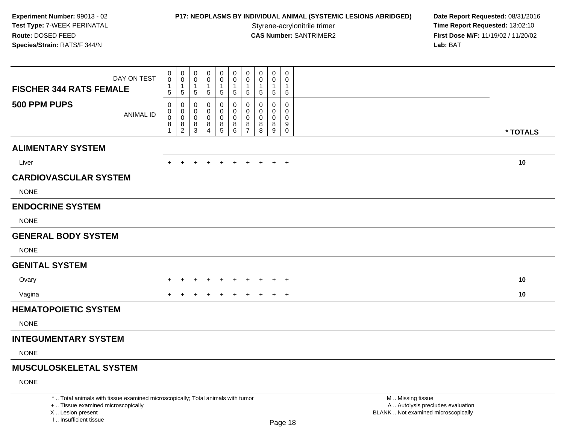# **P17: NEOPLASMS BY INDIVIDUAL ANIMAL (SYSTEMIC LESIONS ABRIDGED) Date Report Requested: 08/31/2016<br>Styrene-acrylonitrile trimer <b>Time Report Requested: 13:02:10**

Styrene-acrylonitrile trimer<br> **CAS Number:** SANTRIMER2<br> **CAS Number:** SANTRIMER2<br> **Time Report Requested:** 13:02:10 **First Dose M/F:** 11/19/02 / 11/20/02 Lab: BAT **Lab:** BAT

| <b>FISCHER 344 RATS FEMALE</b><br>500 PPM PUPS                                                                        | DAY ON TEST<br><b>ANIMAL ID</b> | 0<br>$\mathbf 0$<br>$\mathbf{1}$<br>5<br>0<br>0 | $\pmb{0}$<br>$\mathbf 0$<br>$\mathbf{1}$<br>$\sqrt{5}$<br>0<br>$\mathbf 0$ | $\pmb{0}$<br>0<br>$\mathbf 1$<br>$5\,$<br>0<br>$\mathbf 0$ | 0<br>$\Omega$<br>-1<br>$\sqrt{5}$<br>0<br>0 | 0<br>0<br>$\mathbf{1}$<br>$\sqrt{5}$<br>0<br>$\mathbf 0$ | $\pmb{0}$<br>$\mathbf 0$<br>$\mathbf{1}$<br>$\sqrt{5}$<br>0<br>$\mathbf 0$ | $\mathbf 0$<br>$\mathbf 0$<br>$\mathbf{1}$<br>$\overline{5}$<br>0<br>$\mathbf 0$ | 0<br>0<br>1<br>5<br>0<br>$\Omega$ | 0<br>$\mathbf 0$<br>$\mathbf{1}$<br>$\overline{5}$<br>$\mathbf 0$<br>0 | 0<br>$\Omega$<br>1<br>$\sqrt{5}$<br>0<br>$\Omega$ |                                                        |          |
|-----------------------------------------------------------------------------------------------------------------------|---------------------------------|-------------------------------------------------|----------------------------------------------------------------------------|------------------------------------------------------------|---------------------------------------------|----------------------------------------------------------|----------------------------------------------------------------------------|----------------------------------------------------------------------------------|-----------------------------------|------------------------------------------------------------------------|---------------------------------------------------|--------------------------------------------------------|----------|
|                                                                                                                       |                                 | $\mathbf 0$<br>8<br>1                           | $\mathbf 0$<br>8<br>$\overline{2}$                                         | $\mathbf 0$<br>$^8_3$                                      | $\mathbf 0$<br>8<br>$\overline{4}$          | $\mathbf 0$<br>$\begin{array}{c} 8 \\ 5 \end{array}$     | $\mathbf 0$<br>8<br>$6\overline{6}$                                        | $\mathbf 0$<br>8<br>$\overline{7}$                                               | $\Omega$<br>8<br>8                | $\mathbf 0$<br>8<br>$\boldsymbol{9}$                                   | 0<br>9<br>$\mathbf 0$                             |                                                        | * TOTALS |
| <b>ALIMENTARY SYSTEM</b>                                                                                              |                                 |                                                 |                                                                            |                                                            |                                             |                                                          |                                                                            |                                                                                  |                                   |                                                                        |                                                   |                                                        |          |
| Liver                                                                                                                 |                                 | $+$                                             | $+$                                                                        | $\pm$                                                      |                                             | $\pm$                                                    | $+$                                                                        | $\overline{+}$                                                                   | $\pm$                             |                                                                        | $+$                                               |                                                        | 10       |
| <b>CARDIOVASCULAR SYSTEM</b>                                                                                          |                                 |                                                 |                                                                            |                                                            |                                             |                                                          |                                                                            |                                                                                  |                                   |                                                                        |                                                   |                                                        |          |
| <b>NONE</b>                                                                                                           |                                 |                                                 |                                                                            |                                                            |                                             |                                                          |                                                                            |                                                                                  |                                   |                                                                        |                                                   |                                                        |          |
| <b>ENDOCRINE SYSTEM</b>                                                                                               |                                 |                                                 |                                                                            |                                                            |                                             |                                                          |                                                                            |                                                                                  |                                   |                                                                        |                                                   |                                                        |          |
| <b>NONE</b>                                                                                                           |                                 |                                                 |                                                                            |                                                            |                                             |                                                          |                                                                            |                                                                                  |                                   |                                                                        |                                                   |                                                        |          |
| <b>GENERAL BODY SYSTEM</b>                                                                                            |                                 |                                                 |                                                                            |                                                            |                                             |                                                          |                                                                            |                                                                                  |                                   |                                                                        |                                                   |                                                        |          |
| <b>NONE</b>                                                                                                           |                                 |                                                 |                                                                            |                                                            |                                             |                                                          |                                                                            |                                                                                  |                                   |                                                                        |                                                   |                                                        |          |
| <b>GENITAL SYSTEM</b>                                                                                                 |                                 |                                                 |                                                                            |                                                            |                                             |                                                          |                                                                            |                                                                                  |                                   |                                                                        |                                                   |                                                        |          |
| Ovary                                                                                                                 |                                 |                                                 | $\pm$                                                                      | $\ddot{}$                                                  | $\ddot{}$                                   | $+$                                                      | $+$                                                                        | $+$                                                                              | $\pm$                             |                                                                        | $+$ $+$                                           |                                                        | 10       |
| Vagina                                                                                                                |                                 |                                                 |                                                                            |                                                            |                                             |                                                          | $\ddot{}$                                                                  | $\overline{+}$                                                                   | $\ddot{}$                         | $+$                                                                    | $+$                                               |                                                        | 10       |
| <b>HEMATOPOIETIC SYSTEM</b>                                                                                           |                                 |                                                 |                                                                            |                                                            |                                             |                                                          |                                                                            |                                                                                  |                                   |                                                                        |                                                   |                                                        |          |
| <b>NONE</b>                                                                                                           |                                 |                                                 |                                                                            |                                                            |                                             |                                                          |                                                                            |                                                                                  |                                   |                                                                        |                                                   |                                                        |          |
| <b>INTEGUMENTARY SYSTEM</b>                                                                                           |                                 |                                                 |                                                                            |                                                            |                                             |                                                          |                                                                            |                                                                                  |                                   |                                                                        |                                                   |                                                        |          |
| <b>NONE</b>                                                                                                           |                                 |                                                 |                                                                            |                                                            |                                             |                                                          |                                                                            |                                                                                  |                                   |                                                                        |                                                   |                                                        |          |
| <b>MUSCULOSKELETAL SYSTEM</b>                                                                                         |                                 |                                                 |                                                                            |                                                            |                                             |                                                          |                                                                            |                                                                                  |                                   |                                                                        |                                                   |                                                        |          |
| <b>NONE</b>                                                                                                           |                                 |                                                 |                                                                            |                                                            |                                             |                                                          |                                                                            |                                                                                  |                                   |                                                                        |                                                   |                                                        |          |
| *  Total animals with tissue examined microscopically; Total animals with tumor<br>+  Tissue examined microscopically |                                 |                                                 |                                                                            |                                                            |                                             |                                                          |                                                                            |                                                                                  |                                   |                                                                        |                                                   | M  Missing tissue<br>A  Autolysis precludes evaluation |          |

I .. Insufficient tissue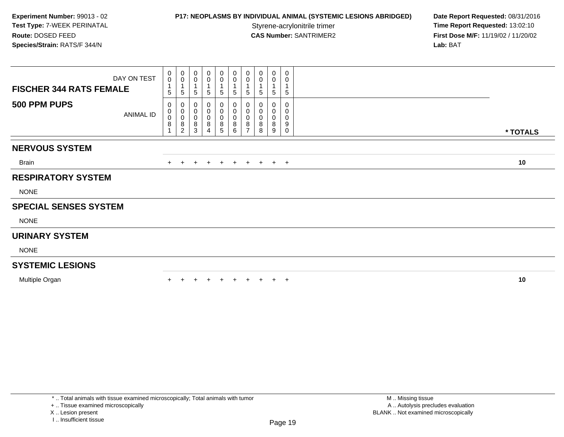## **P17: NEOPLASMS BY INDIVIDUAL ANIMAL (SYSTEMIC LESIONS ABRIDGED) Date Report Requested: 08/31/2016<br>Styrene-acrylonitrile trimer <b>Time Report Requested: 13:02:10**

**Time Report Requested: 13:02:10 CAS Number:** SANTRIMER2 **First Dose M/F:** 11/19/02 / 11/20/02 **Lab:** BAT

| $_0^0$<br>$\mathbf{1}$<br>5                    | $_{\rm 0}^{\rm 0}$<br>5                     | 0<br>0<br>$\overline{\mathbf{1}}$<br>$\overline{5}$ | 0<br>0<br>1<br>5                   | $\mathbf 0$<br>$\pmb{0}$<br>$\mathbf{1}$<br>5 | 0<br>$\pmb{0}$<br>1<br>$\,$ 5 $\,$ | 0<br>0<br>5      | 0<br>5 | 0<br>$\pmb{0}$<br>$\overline{ }$<br>5 | $\Omega$<br>0<br>$\sqrt{5}$ |                                |          |
|------------------------------------------------|---------------------------------------------|-----------------------------------------------------|------------------------------------|-----------------------------------------------|------------------------------------|------------------|--------|---------------------------------------|-----------------------------|--------------------------------|----------|
| 0<br>0<br>0<br>$\bf 8$<br>$\blacktriangleleft$ | 0<br>$\boldsymbol{0}$<br>$\,0\,$<br>$\bf 8$ | 0<br>0<br>$\pmb{0}$<br>8                            | 0<br>0<br>0<br>8<br>$\overline{4}$ | 0<br>$\boldsymbol{0}$<br>$\pmb{0}$<br>$\bf 8$ | 0<br>0<br>0<br>8<br>6              | 0<br>0<br>0<br>8 | 8<br>8 | 0<br>0<br>0<br>8                      | 0<br>0<br>0<br>9            |                                | * TOTALS |
|                                                |                                             |                                                     |                                    |                                               |                                    |                  |        |                                       |                             |                                |          |
|                                                |                                             |                                                     |                                    |                                               |                                    |                  |        |                                       |                             |                                |          |
| $+$                                            | $+$                                         |                                                     |                                    |                                               |                                    |                  |        |                                       |                             |                                | 10       |
|                                                |                                             |                                                     |                                    |                                               |                                    |                  |        |                                       |                             |                                |          |
|                                                |                                             |                                                     |                                    |                                               |                                    |                  |        |                                       |                             |                                |          |
|                                                |                                             |                                                     |                                    |                                               |                                    |                  |        |                                       |                             |                                |          |
|                                                |                                             |                                                     |                                    |                                               |                                    |                  |        |                                       |                             |                                |          |
|                                                |                                             |                                                     |                                    |                                               |                                    |                  |        |                                       |                             |                                |          |
|                                                |                                             |                                                     |                                    |                                               |                                    |                  |        |                                       |                             |                                |          |
|                                                |                                             |                                                     |                                    |                                               |                                    |                  |        |                                       |                             |                                |          |
|                                                |                                             |                                                     |                                    |                                               |                                    |                  |        |                                       |                             |                                |          |
| DAY ON TEST                                    | ANIMAL ID                                   | $\overline{2}$                                      | 3                                  |                                               | 5                                  |                  |        |                                       | 9                           | $\mathbf 0$<br>+ + + + + + + + |          |

\* .. Total animals with tissue examined microscopically; Total animals with tumor

+ .. Tissue examined microscopically

X .. Lesion present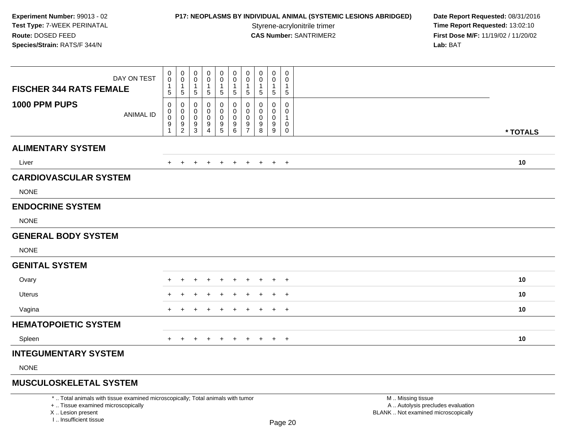## **P17: NEOPLASMS BY INDIVIDUAL ANIMAL (SYSTEMIC LESIONS ABRIDGED) Date Report Requested: 08/31/2016<br>Styrene-acrylonitrile trimer <b>Time Report Requested: 13:02:10**

**Time Report Requested: 13:02:10 CAS Number:** SANTRIMER2 **First Dose M/F:** 11/19/02 / 11/20/02 **Lab:** BAT

| DAY ON TEST<br><b>FISCHER 344 RATS FEMALE</b> | 0<br>$\mathbf 0$<br>1<br>5 | 0<br>$\mathsf{O}$<br>$\mathbf{1}$<br>5 | 0<br>$\mathbf 0$<br>$\mathbf{1}$<br>$\sqrt{5}$ | 0<br>$\mathbf 0$<br>$\overline{1}$<br>$\sqrt{5}$ | 0<br>$\mathbf 0$<br>$\mathbf 1$<br>$\sqrt{5}$                  | 0<br>$\mathsf 0$<br>$\mathbf{1}$<br>$\sqrt{5}$ | 0<br>0<br>$\mathbf{1}$<br>5        | 0<br>$\mathbf 0$<br>1<br>$\,$ 5 $\,$ | 0<br>0<br>$\mathbf{1}$<br>$\overline{5}$ | 0<br>$\mathbf 0$<br>$\mathbf 1$<br>$\,$ 5 $\,$   |          |  |
|-----------------------------------------------|----------------------------|----------------------------------------|------------------------------------------------|--------------------------------------------------|----------------------------------------------------------------|------------------------------------------------|------------------------------------|--------------------------------------|------------------------------------------|--------------------------------------------------|----------|--|
| 1000 PPM PUPS<br><b>ANIMAL ID</b>             | 0<br>0<br>$\pmb{0}$<br>9   | 0<br>0<br>0<br>$\frac{9}{2}$           | 0<br>0<br>$\pmb{0}$<br>$\frac{9}{3}$           | 0<br>0<br>$\mathbf 0$<br>9<br>$\overline{4}$     | 0<br>0<br>$\mathbf 0$<br>$\begin{array}{c} 9 \\ 5 \end{array}$ | 0<br>0<br>$\mathbf 0$<br>$^9$ 6                | 0<br>0<br>0<br>9<br>$\overline{7}$ | 0<br>0<br>0<br>9<br>8                | 0<br>0<br>0<br>9<br>$\boldsymbol{9}$     | $\pmb{0}$<br>0<br>-1<br>$\mathbf 0$<br>$\pmb{0}$ | * TOTALS |  |
| <b>ALIMENTARY SYSTEM</b>                      |                            |                                        |                                                |                                                  |                                                                |                                                |                                    |                                      |                                          |                                                  |          |  |
| Liver                                         |                            | $\pm$                                  | $\pm$                                          |                                                  |                                                                | $\overline{+}$                                 | $\pm$                              | $\pm$                                | $+$                                      | $+$                                              | 10       |  |
| <b>CARDIOVASCULAR SYSTEM</b><br><b>NONE</b>   |                            |                                        |                                                |                                                  |                                                                |                                                |                                    |                                      |                                          |                                                  |          |  |
| <b>ENDOCRINE SYSTEM</b>                       |                            |                                        |                                                |                                                  |                                                                |                                                |                                    |                                      |                                          |                                                  |          |  |
| <b>NONE</b>                                   |                            |                                        |                                                |                                                  |                                                                |                                                |                                    |                                      |                                          |                                                  |          |  |
| <b>GENERAL BODY SYSTEM</b>                    |                            |                                        |                                                |                                                  |                                                                |                                                |                                    |                                      |                                          |                                                  |          |  |
| <b>NONE</b>                                   |                            |                                        |                                                |                                                  |                                                                |                                                |                                    |                                      |                                          |                                                  |          |  |
| <b>GENITAL SYSTEM</b>                         |                            |                                        |                                                |                                                  |                                                                |                                                |                                    |                                      |                                          |                                                  |          |  |
| Ovary                                         |                            |                                        |                                                |                                                  |                                                                |                                                |                                    |                                      |                                          | $\overline{+}$                                   | 10       |  |
| <b>Uterus</b>                                 |                            |                                        |                                                |                                                  |                                                                |                                                |                                    |                                      |                                          | $\overline{+}$                                   | 10       |  |
| Vagina                                        | $\pm$                      |                                        | ÷                                              |                                                  |                                                                | $\pm$                                          | $\pm$                              | $\pm$                                | $+$                                      | $+$                                              | 10       |  |
| <b>HEMATOPOIETIC SYSTEM</b>                   |                            |                                        |                                                |                                                  |                                                                |                                                |                                    |                                      |                                          |                                                  |          |  |
| Spleen                                        | $+$                        | $+$                                    | $\ddot{}$                                      | $\ddot{}$                                        | $+$                                                            | $+$                                            | $+$                                | $+$                                  |                                          | $+$ $+$                                          | 10       |  |
| <b>INTEGUMENTARY SYSTEM</b>                   |                            |                                        |                                                |                                                  |                                                                |                                                |                                    |                                      |                                          |                                                  |          |  |
| <b>NONE</b>                                   |                            |                                        |                                                |                                                  |                                                                |                                                |                                    |                                      |                                          |                                                  |          |  |
| <b>MUSCULOSKELETAL SYSTEM</b>                 |                            |                                        |                                                |                                                  |                                                                |                                                |                                    |                                      |                                          |                                                  |          |  |

Page 20

\* .. Total animals with tissue examined microscopically; Total animals with tumor

y the contract of the contract of the contract of the contract of the contract of  $\mathsf A$  . Autolysis precludes evaluation + .. Tissue examined microscopically

 Lesion present BLANK .. Not examined microscopicallyX .. Lesion present

I .. Insufficient tissue

M .. Missing tissue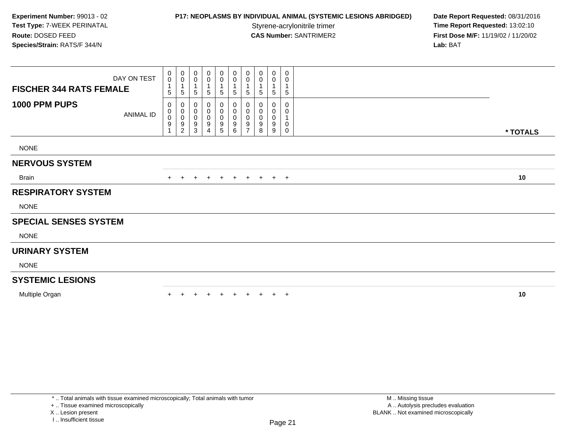## **P17: NEOPLASMS BY INDIVIDUAL ANIMAL (SYSTEMIC LESIONS ABRIDGED) Date Report Requested: 08/31/2016<br>Styrene-acrylonitrile trimer <b>Time Report Requested: 13:02:10**

**Time Report Requested: 13:02:10 CAS Number:** SANTRIMER2 **First Dose M/F:** 11/19/02 / 11/20/02 **Lab:** BAT

| <b>FISCHER 344 RATS FEMALE</b> | DAY ON TEST      | $_{\rm 0}^{\rm 0}$<br>5 | $\boldsymbol{0}$<br>$\pmb{0}$<br>1<br>$\,$ 5 $\,$             | 0<br>0<br>$\sqrt{5}$             | 0<br>0<br>1<br>$\sqrt{5}$                            | 0<br>0<br>1<br>5                     | 0<br>0<br>$\mathbf 1$<br>$\sqrt{5}$                  | 0<br>0<br>1<br>5                                  | 0<br>0<br>5      | 0<br>0<br>$\sqrt{5}$                                | 0<br>0<br>1<br>5      |          |
|--------------------------------|------------------|-------------------------|---------------------------------------------------------------|----------------------------------|------------------------------------------------------|--------------------------------------|------------------------------------------------------|---------------------------------------------------|------------------|-----------------------------------------------------|-----------------------|----------|
| 1000 PPM PUPS                  | <b>ANIMAL ID</b> | 0<br>0<br>0<br>9        | 0<br>$_{\rm 0}^{\rm 0}$<br>$\boldsymbol{9}$<br>$\overline{c}$ | 0<br>0<br>0<br>9<br>$\mathbf{3}$ | 0<br>$\pmb{0}$<br>$\pmb{0}$<br>$\boldsymbol{9}$<br>4 | 0<br>0<br>0<br>$\boldsymbol{9}$<br>5 | 0<br>$\pmb{0}$<br>$\pmb{0}$<br>$\boldsymbol{9}$<br>6 | 0<br>0<br>0<br>$\boldsymbol{9}$<br>$\overline{7}$ | 0<br>0<br>9<br>8 | 0<br>$\boldsymbol{0}$<br>$\boldsymbol{0}$<br>9<br>9 | 0<br>0<br>1<br>0<br>0 | * TOTALS |
| <b>NONE</b>                    |                  |                         |                                                               |                                  |                                                      |                                      |                                                      |                                                   |                  |                                                     |                       |          |
| <b>NERVOUS SYSTEM</b>          |                  |                         |                                                               |                                  |                                                      |                                      |                                                      |                                                   |                  |                                                     |                       |          |
| <b>Brain</b>                   |                  | $+$                     | $\pm$                                                         | $\pm$                            | $+$                                                  | $+$                                  | $+$                                                  | $+$                                               | $+$              |                                                     | $+$ $+$               | 10       |
| <b>RESPIRATORY SYSTEM</b>      |                  |                         |                                                               |                                  |                                                      |                                      |                                                      |                                                   |                  |                                                     |                       |          |
| <b>NONE</b>                    |                  |                         |                                                               |                                  |                                                      |                                      |                                                      |                                                   |                  |                                                     |                       |          |
| <b>SPECIAL SENSES SYSTEM</b>   |                  |                         |                                                               |                                  |                                                      |                                      |                                                      |                                                   |                  |                                                     |                       |          |
| <b>NONE</b>                    |                  |                         |                                                               |                                  |                                                      |                                      |                                                      |                                                   |                  |                                                     |                       |          |
| <b>URINARY SYSTEM</b>          |                  |                         |                                                               |                                  |                                                      |                                      |                                                      |                                                   |                  |                                                     |                       |          |
| <b>NONE</b>                    |                  |                         |                                                               |                                  |                                                      |                                      |                                                      |                                                   |                  |                                                     |                       |          |
| <b>SYSTEMIC LESIONS</b>        |                  |                         |                                                               |                                  |                                                      |                                      |                                                      |                                                   |                  |                                                     |                       |          |
| Multiple Organ                 |                  |                         |                                                               |                                  |                                                      | $\overline{+}$                       |                                                      | $+$                                               | $+$              |                                                     | $+$ $+$               | 10       |

+ .. Tissue examined microscopically

X .. Lesion present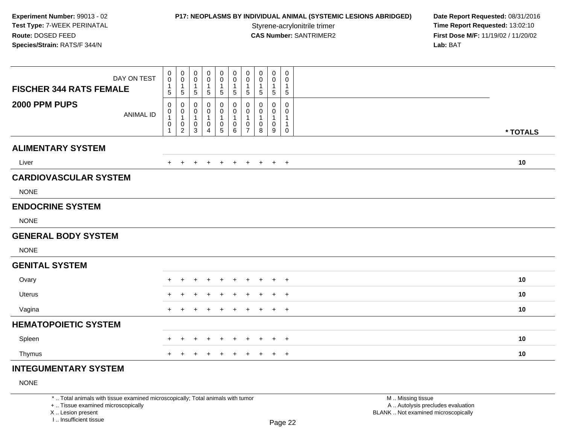## **P17: NEOPLASMS BY INDIVIDUAL ANIMAL (SYSTEMIC LESIONS ABRIDGED) Date Report Requested: 08/31/2016<br>Styrene-acrylonitrile trimer <b>Time Report Requested: 13:02:10**

**Time Report Requested: 13:02:10 CAS Number:** SANTRIMER2 **First Dose M/F:** 11/19/02 / 11/20/02 **Lab:** BAT

| DAY ON TEST<br><b>FISCHER 344 RATS FEMALE</b> | 0<br>$\mathsf 0$<br>$\mathbf{1}$<br>5      | $\mathbf 0$<br>$\mathbf 0$<br>$\overline{1}$<br>5                   | 0<br>$\mathbf 0$<br>$\mathbf 1$<br>5 | 0<br>$\mathbf 0$<br>$\mathbf{1}$<br>$\sqrt{5}$ | 0<br>$\pmb{0}$<br>$\mathbf{1}$<br>5                             | 0<br>0<br>$\mathbf{1}$<br>5                          | $\pmb{0}$<br>$\pmb{0}$<br>$\overline{1}$<br>$\overline{5}$      | 0<br>0<br>$\overline{1}$<br>5    | 0<br>$\mathbf 0$<br>$\mathbf{1}$<br>5             | 0<br>$\mathbf 0$<br>$\mathbf{1}$<br>5 |          |  |
|-----------------------------------------------|--------------------------------------------|---------------------------------------------------------------------|--------------------------------------|------------------------------------------------|-----------------------------------------------------------------|------------------------------------------------------|-----------------------------------------------------------------|----------------------------------|---------------------------------------------------|---------------------------------------|----------|--|
| 2000 PPM PUPS<br><b>ANIMAL ID</b>             | 0<br>0<br>$\mathbf{1}$<br>$\mathsf 0$<br>1 | 0<br>$\mathbf 0$<br>$\mathbf{1}$<br>$\mathbf 0$<br>$\boldsymbol{2}$ | 0<br>0<br>$\mathbf{1}$<br>0<br>3     | 0<br>0<br>1<br>$\mathbf 0$<br>4                | 0<br>0<br>$\mathbf{1}$<br>$\begin{array}{c} 0 \\ 5 \end{array}$ | 0<br>$\mathbf 0$<br>$\mathbf{1}$<br>$\mathbf 0$<br>6 | 0<br>$\pmb{0}$<br>$\overline{1}$<br>$\pmb{0}$<br>$\overline{7}$ | 0<br>0<br>$\mathbf{1}$<br>0<br>8 | 0<br>0<br>$\mathbf 1$<br>$\mathsf{O}\xspace$<br>9 | 0<br>0<br>1<br>1<br>0                 | * TOTALS |  |
| <b>ALIMENTARY SYSTEM</b>                      |                                            |                                                                     |                                      |                                                |                                                                 |                                                      |                                                                 |                                  |                                                   |                                       |          |  |
| Liver                                         | $+$                                        | $\overline{+}$                                                      | $\ddot{}$                            | $\ddot{}$                                      | $+$                                                             | $+$                                                  | $+$                                                             | $+$                              |                                                   | $+$ $+$                               | 10       |  |
| <b>CARDIOVASCULAR SYSTEM</b>                  |                                            |                                                                     |                                      |                                                |                                                                 |                                                      |                                                                 |                                  |                                                   |                                       |          |  |
| <b>NONE</b>                                   |                                            |                                                                     |                                      |                                                |                                                                 |                                                      |                                                                 |                                  |                                                   |                                       |          |  |
| <b>ENDOCRINE SYSTEM</b>                       |                                            |                                                                     |                                      |                                                |                                                                 |                                                      |                                                                 |                                  |                                                   |                                       |          |  |
| <b>NONE</b>                                   |                                            |                                                                     |                                      |                                                |                                                                 |                                                      |                                                                 |                                  |                                                   |                                       |          |  |
| <b>GENERAL BODY SYSTEM</b>                    |                                            |                                                                     |                                      |                                                |                                                                 |                                                      |                                                                 |                                  |                                                   |                                       |          |  |
| <b>NONE</b>                                   |                                            |                                                                     |                                      |                                                |                                                                 |                                                      |                                                                 |                                  |                                                   |                                       |          |  |
| <b>GENITAL SYSTEM</b>                         |                                            |                                                                     |                                      |                                                |                                                                 |                                                      |                                                                 |                                  |                                                   |                                       |          |  |
| Ovary                                         | $\pm$                                      |                                                                     |                                      |                                                | $\pm$                                                           | $\pm$                                                | $\pm$                                                           | $\pm$                            | $+$                                               | $+$                                   | 10       |  |
| <b>Uterus</b>                                 | $\pm$                                      |                                                                     |                                      |                                                |                                                                 |                                                      |                                                                 | ÷                                | $\pm$                                             | $+$                                   | 10       |  |
| Vagina                                        | $+$                                        | +                                                                   | ÷                                    |                                                | $\ddot{}$                                                       | $\ddot{}$                                            | $\ddot{}$                                                       | $\ddot{}$                        | $+$                                               | $+$                                   | 10       |  |
| <b>HEMATOPOIETIC SYSTEM</b>                   |                                            |                                                                     |                                      |                                                |                                                                 |                                                      |                                                                 |                                  |                                                   |                                       |          |  |
| Spleen                                        |                                            |                                                                     | ÷                                    |                                                | $\div$                                                          | $\div$                                               |                                                                 | ÷                                | $\pm$                                             | $+$                                   | 10       |  |
| Thymus                                        | $+$                                        |                                                                     |                                      |                                                | $\overline{+}$                                                  | $+$                                                  | $+$                                                             | $\pm$                            | $+$                                               | $+$                                   | 10       |  |
| <b>INTEGUMENTARY SYSTEM</b>                   |                                            |                                                                     |                                      |                                                |                                                                 |                                                      |                                                                 |                                  |                                                   |                                       |          |  |

### NONE

\* .. Total animals with tissue examined microscopically; Total animals with tumor

+ .. Tissue examined microscopically

X .. Lesion present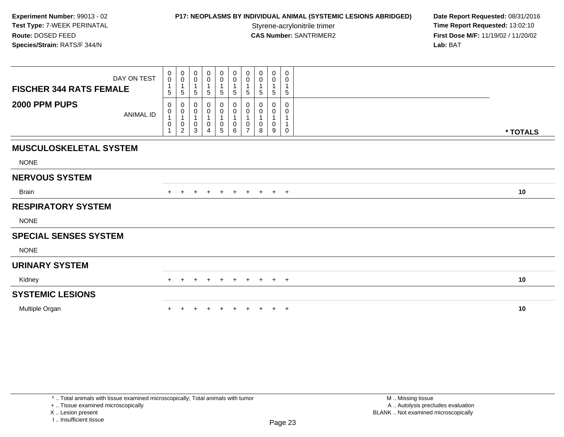### **P17: NEOPLASMS BY INDIVIDUAL ANIMAL (SYSTEMIC LESIONS ABRIDGED) Date Report Requested: 08/31/2016<br>Styrene-acrylonitrile trimer <b>Time Report Requested: 13:02:10**

**Time Report Requested: 13:02:10 CAS Number:** SANTRIMER2 **First Dose M/F:** 11/19/02 / 11/20/02 **Lab:** BAT

| DAY ON TEST<br><b>FISCHER 344 RATS FEMALE</b> | $\pmb{0}$<br>$\mathbf 0$<br>$\mathbf{1}$<br>5             | 0<br>$\mathbf 0$<br>$\mathbf{1}$<br>5                        | 0<br>$\mathsf{O}\xspace$<br>$\mathbf{1}$<br>5 | 0<br>$\pmb{0}$<br>$\mathbf{1}$<br>5                   | $\mathbf 0$<br>$\pmb{0}$<br>$\overline{5}$ | $\begin{smallmatrix} 0\\0 \end{smallmatrix}$<br>$\overline{1}$<br>$\sqrt{5}$ | 0<br>$\mathsf 0$<br>$\mathbf{1}$<br>$\sqrt{5}$            | $\pmb{0}$<br>$\pmb{0}$<br>1<br>5 | $\pmb{0}$<br>$\pmb{0}$<br>$\mathbf{1}$<br>5 | 0<br>0<br>$\mathbf{1}$<br>$5\phantom{.0}$ |          |
|-----------------------------------------------|-----------------------------------------------------------|--------------------------------------------------------------|-----------------------------------------------|-------------------------------------------------------|--------------------------------------------|------------------------------------------------------------------------------|-----------------------------------------------------------|----------------------------------|---------------------------------------------|-------------------------------------------|----------|
| 2000 PPM PUPS<br><b>ANIMAL ID</b>             | 0<br>$\,0\,$<br>$\mathbf{1}$<br>$\pmb{0}$<br>$\mathbf{1}$ | 0<br>$\pmb{0}$<br>$\mathbf 1$<br>$\pmb{0}$<br>$\overline{c}$ | 0<br>0<br>1<br>$\pmb{0}$<br>3                 | 0<br>0<br>$\mathbf{1}$<br>$\pmb{0}$<br>$\overline{4}$ | 0<br>$\pmb{0}$<br>0<br>5                   | $\mathbf 0$<br>$\mathbf 0$<br>$\overline{1}$<br>$\mathbf 0$<br>6             | 0<br>0<br>$\overline{1}$<br>$\mathbf 0$<br>$\overline{ }$ | 0<br>0<br>1<br>0<br>8            | $\Omega$<br>0<br>1<br>$\pmb{0}$<br>9        | 0<br>0<br>$\mathbf 0$                     | * TOTALS |
| <b>MUSCULOSKELETAL SYSTEM</b><br><b>NONE</b>  |                                                           |                                                              |                                               |                                                       |                                            |                                                                              |                                                           |                                  |                                             |                                           |          |
| <b>NERVOUS SYSTEM</b>                         |                                                           |                                                              |                                               |                                                       |                                            |                                                                              |                                                           |                                  |                                             |                                           |          |
| <b>Brain</b>                                  |                                                           |                                                              |                                               | $\pm$                                                 | $+$                                        | $+$                                                                          | $+$                                                       | $+$                              | $+$ $+$                                     |                                           | 10       |
| <b>RESPIRATORY SYSTEM</b>                     |                                                           |                                                              |                                               |                                                       |                                            |                                                                              |                                                           |                                  |                                             |                                           |          |
| <b>NONE</b>                                   |                                                           |                                                              |                                               |                                                       |                                            |                                                                              |                                                           |                                  |                                             |                                           |          |
| <b>SPECIAL SENSES SYSTEM</b>                  |                                                           |                                                              |                                               |                                                       |                                            |                                                                              |                                                           |                                  |                                             |                                           |          |
| <b>NONE</b>                                   |                                                           |                                                              |                                               |                                                       |                                            |                                                                              |                                                           |                                  |                                             |                                           |          |
| <b>URINARY SYSTEM</b>                         |                                                           |                                                              |                                               |                                                       |                                            |                                                                              |                                                           |                                  |                                             |                                           |          |
| Kidney                                        | $+$                                                       | $+$                                                          | $+$                                           | $+$                                                   | $+$                                        | $+$                                                                          | $+$                                                       | $+$                              | $+$ $+$                                     |                                           | 10       |
| <b>SYSTEMIC LESIONS</b>                       |                                                           |                                                              |                                               |                                                       |                                            |                                                                              |                                                           |                                  |                                             |                                           |          |
| Multiple Organ                                |                                                           |                                                              |                                               |                                                       |                                            |                                                                              |                                                           |                                  |                                             | $+$ $+$                                   | 10       |

+ .. Tissue examined microscopically

X .. Lesion present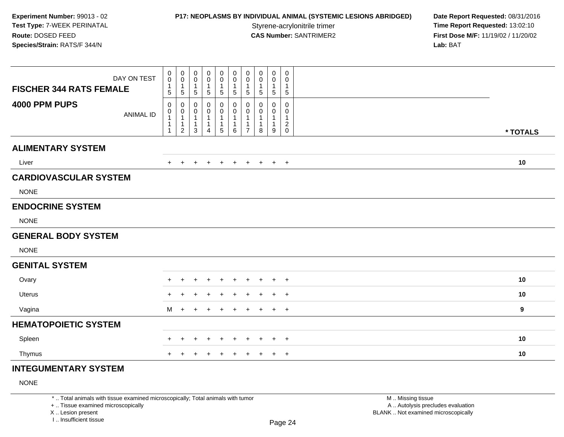## **P17: NEOPLASMS BY INDIVIDUAL ANIMAL (SYSTEMIC LESIONS ABRIDGED) Date Report Requested: 08/31/2016<br>Styrene-acrylonitrile trimer <b>Time Report Requested: 13:02:10**

**Time Report Requested: 13:02:10 CAS Number:** SANTRIMER2 **First Dose M/F:** 11/19/02 / 11/20/02 **Lab:** BAT

| DAY ON TEST<br><b>FISCHER 344 RATS FEMALE</b> | 0<br>0<br>$\mathbf{1}$<br>5                                    | $\mathbf 0$<br>$\mathbf 0$<br>$\mathbf{1}$<br>$\sqrt{5}$            | 0<br>0<br>$\mathbf{1}$<br>$5\phantom{.0}$  | 0<br>0<br>$\overline{1}$<br>$\sqrt{5}$                   | $\mathbf 0$<br>$\pmb{0}$<br>1<br>$\overline{5}$ | $\mathbf 0$<br>$\mathbf 0$<br>$\mathbf{1}$<br>$\sqrt{5}$            | $\pmb{0}$<br>$\pmb{0}$<br>$\mathbf{1}$<br>$\sqrt{5}$                         | 0<br>0<br>$\mathbf{1}$<br>5      | 0<br>$\pmb{0}$<br>$\mathbf{1}$<br>5         | 0<br>0<br>$\mathbf{1}$<br>$\sqrt{5}$                   |          |
|-----------------------------------------------|----------------------------------------------------------------|---------------------------------------------------------------------|--------------------------------------------|----------------------------------------------------------|-------------------------------------------------|---------------------------------------------------------------------|------------------------------------------------------------------------------|----------------------------------|---------------------------------------------|--------------------------------------------------------|----------|
| 4000 PPM PUPS<br><b>ANIMAL ID</b>             | 0<br>$\pmb{0}$<br>$\mathbf{1}$<br>$\mathbf{1}$<br>$\mathbf{1}$ | 0<br>$\boldsymbol{0}$<br>$\mathbf{1}$<br>$\mathbf{1}$<br>$\sqrt{2}$ | 0<br>0<br>$\mathbf{1}$<br>$\mathbf 1$<br>3 | 0<br>0<br>$\mathbf{1}$<br>$\mathbf{1}$<br>$\overline{4}$ | 0<br>$\pmb{0}$<br>1<br>1<br>$\sqrt{5}$          | $\mathbf 0$<br>$\mathbf 0$<br>$\overline{1}$<br>$\overline{1}$<br>6 | $\mathbf 0$<br>$\mathbf 0$<br>$\mathbf{1}$<br>$\mathbf{1}$<br>$\overline{7}$ | 0<br>0<br>1<br>$\mathbf{1}$<br>8 | 0<br>0<br>$\mathbf{1}$<br>$\mathbf{1}$<br>9 | $\mathbf 0$<br>0<br>1<br>$\overline{c}$<br>$\mathbf 0$ | * TOTALS |
| <b>ALIMENTARY SYSTEM</b>                      |                                                                |                                                                     |                                            |                                                          |                                                 |                                                                     |                                                                              |                                  |                                             |                                                        |          |
| Liver                                         | $+$                                                            | $\overline{+}$                                                      | $\ddot{}$                                  | $\ddot{}$                                                | $\overline{+}$                                  | $+$                                                                 | $+$                                                                          | $+$                              | $+$                                         | $+$                                                    | 10       |
| <b>CARDIOVASCULAR SYSTEM</b>                  |                                                                |                                                                     |                                            |                                                          |                                                 |                                                                     |                                                                              |                                  |                                             |                                                        |          |
| <b>NONE</b>                                   |                                                                |                                                                     |                                            |                                                          |                                                 |                                                                     |                                                                              |                                  |                                             |                                                        |          |
| <b>ENDOCRINE SYSTEM</b>                       |                                                                |                                                                     |                                            |                                                          |                                                 |                                                                     |                                                                              |                                  |                                             |                                                        |          |
| <b>NONE</b>                                   |                                                                |                                                                     |                                            |                                                          |                                                 |                                                                     |                                                                              |                                  |                                             |                                                        |          |
| <b>GENERAL BODY SYSTEM</b>                    |                                                                |                                                                     |                                            |                                                          |                                                 |                                                                     |                                                                              |                                  |                                             |                                                        |          |
| <b>NONE</b>                                   |                                                                |                                                                     |                                            |                                                          |                                                 |                                                                     |                                                                              |                                  |                                             |                                                        |          |
| <b>GENITAL SYSTEM</b>                         |                                                                |                                                                     |                                            |                                                          |                                                 |                                                                     |                                                                              |                                  |                                             |                                                        |          |
| Ovary                                         | $\div$                                                         |                                                                     |                                            |                                                          | $\div$                                          | $\ddot{}$                                                           | $\pm$                                                                        | $\pm$                            | $+$                                         | $^{+}$                                                 | 10       |
| Uterus                                        |                                                                |                                                                     |                                            |                                                          |                                                 |                                                                     |                                                                              |                                  | ÷                                           | $\overline{+}$                                         | 10       |
| Vagina                                        | M                                                              | $+$                                                                 | $\ddot{}$                                  |                                                          | $\ddot{}$                                       | $\ddot{}$                                                           | $\div$                                                                       |                                  | $+$                                         | $+$                                                    | 9        |
| <b>HEMATOPOIETIC SYSTEM</b>                   |                                                                |                                                                     |                                            |                                                          |                                                 |                                                                     |                                                                              |                                  |                                             |                                                        |          |
| Spleen                                        | +                                                              |                                                                     | $\ddot{}$                                  | $\pm$                                                    | $\div$                                          | $\ddot{}$                                                           | $+$                                                                          | $\pm$                            | $+$                                         | $\overline{+}$                                         | 10       |
| Thymus                                        | $+$                                                            |                                                                     | $\div$                                     | $\pm$                                                    | $\pm$                                           | $\pm$                                                               | $\pm$                                                                        | $\pm$                            | $+$                                         | $+$                                                    | 10       |
| <b>INTEGUMENTARY SYSTEM</b>                   |                                                                |                                                                     |                                            |                                                          |                                                 |                                                                     |                                                                              |                                  |                                             |                                                        |          |

### NONE

\* .. Total animals with tissue examined microscopically; Total animals with tumor

+ .. Tissue examined microscopically

X .. Lesion present